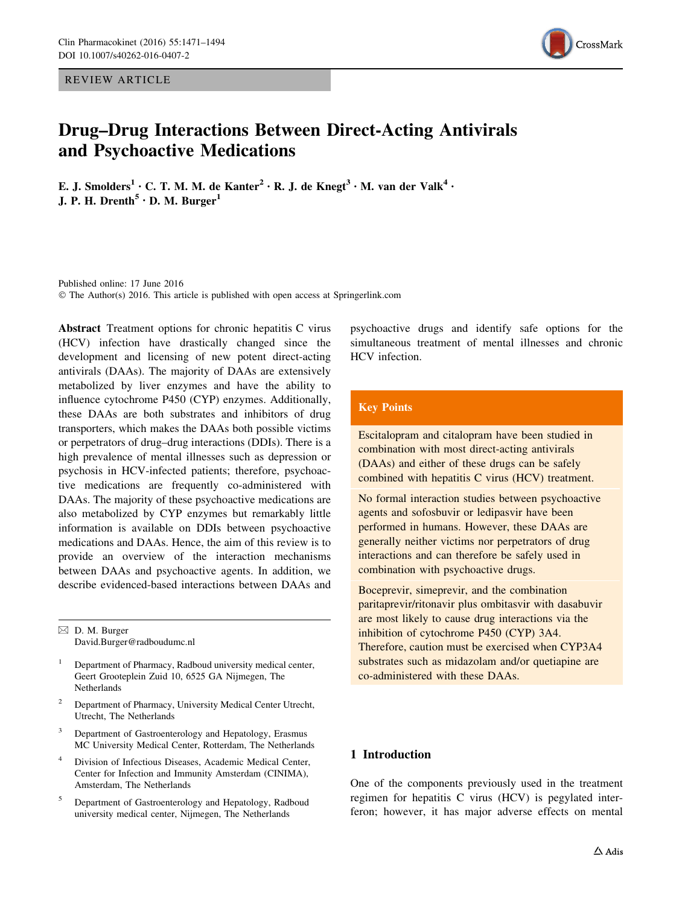REVIEW ARTICLE



# Drug–Drug Interactions Between Direct-Acting Antivirals and Psychoactive Medications

E. J. Smolders<sup>1</sup> · C. T. M. M. de Kanter<sup>2</sup> · R. J. de Knegt<sup>3</sup> · M. van der Valk<sup>4</sup> · J. P. H. Drenth<sup>5</sup>  $\cdot$  D. M. Burger<sup>1</sup>

Published online: 17 June 2016 © The Author(s) 2016. This article is published with open access at Springerlink.com

Abstract Treatment options for chronic hepatitis C virus (HCV) infection have drastically changed since the development and licensing of new potent direct-acting antivirals (DAAs). The majority of DAAs are extensively metabolized by liver enzymes and have the ability to influence cytochrome P450 (CYP) enzymes. Additionally, these DAAs are both substrates and inhibitors of drug transporters, which makes the DAAs both possible victims or perpetrators of drug–drug interactions (DDIs). There is a high prevalence of mental illnesses such as depression or psychosis in HCV-infected patients; therefore, psychoactive medications are frequently co-administered with DAAs. The majority of these psychoactive medications are also metabolized by CYP enzymes but remarkably little information is available on DDIs between psychoactive medications and DAAs. Hence, the aim of this review is to provide an overview of the interaction mechanisms between DAAs and psychoactive agents. In addition, we describe evidenced-based interactions between DAAs and

 $\boxtimes$  D. M. Burger David.Burger@radboudumc.nl

- <sup>1</sup> Department of Pharmacy, Radboud university medical center, Geert Grooteplein Zuid 10, 6525 GA Nijmegen, The Netherlands
- <sup>2</sup> Department of Pharmacy, University Medical Center Utrecht, Utrecht, The Netherlands
- <sup>3</sup> Department of Gastroenterology and Hepatology, Erasmus MC University Medical Center, Rotterdam, The Netherlands
- Division of Infectious Diseases, Academic Medical Center, Center for Infection and Immunity Amsterdam (CINIMA), Amsterdam, The Netherlands
- <sup>5</sup> Department of Gastroenterology and Hepatology, Radboud university medical center, Nijmegen, The Netherlands

psychoactive drugs and identify safe options for the simultaneous treatment of mental illnesses and chronic HCV infection.

# Key Points

Escitalopram and citalopram have been studied in combination with most direct-acting antivirals (DAAs) and either of these drugs can be safely combined with hepatitis C virus (HCV) treatment.

No formal interaction studies between psychoactive agents and sofosbuvir or ledipasvir have been performed in humans. However, these DAAs are generally neither victims nor perpetrators of drug interactions and can therefore be safely used in combination with psychoactive drugs.

Boceprevir, simeprevir, and the combination paritaprevir/ritonavir plus ombitasvir with dasabuvir are most likely to cause drug interactions via the inhibition of cytochrome P450 (CYP) 3A4. Therefore, caution must be exercised when CYP3A4 substrates such as midazolam and/or quetiapine are co-administered with these DAAs.

# 1 Introduction

One of the components previously used in the treatment regimen for hepatitis C virus (HCV) is pegylated interferon; however, it has major adverse effects on mental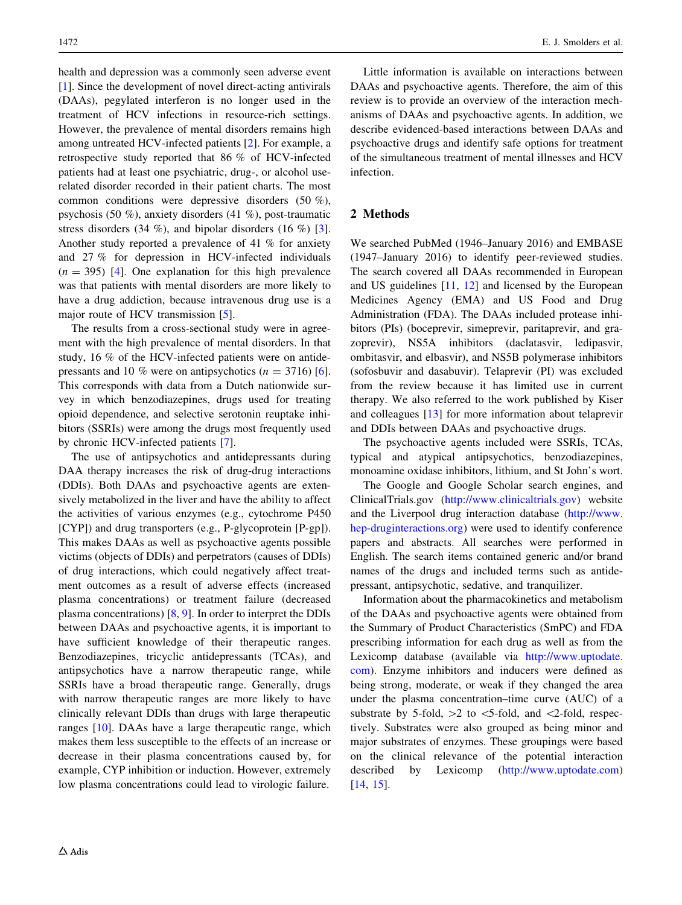health and depression was a commonly seen adverse event [\[1](#page-21-0)]. Since the development of novel direct-acting antivirals (DAAs), pegylated interferon is no longer used in the treatment of HCV infections in resource-rich settings. However, the prevalence of mental disorders remains high among untreated HCV-infected patients [\[2](#page-21-0)]. For example, a retrospective study reported that 86 % of HCV-infected patients had at least one psychiatric, drug-, or alcohol userelated disorder recorded in their patient charts. The most common conditions were depressive disorders (50 %), psychosis (50 %), anxiety disorders (41 %), post-traumatic stress disorders  $(34 \%)$ , and bipolar disorders  $(16 \%)$  [\[3](#page-21-0)]. Another study reported a prevalence of 41 % for anxiety and 27 % for depression in HCV-infected individuals  $(n = 395)$  [[4\]](#page-21-0). One explanation for this high prevalence was that patients with mental disorders are more likely to have a drug addiction, because intravenous drug use is a major route of HCV transmission [[5\]](#page-21-0).

The results from a cross-sectional study were in agreement with the high prevalence of mental disorders. In that study, 16 % of the HCV-infected patients were on antidepressants and 10 % were on antipsychotics  $(n = 3716)$  [\[6](#page-21-0)]. This corresponds with data from a Dutch nationwide survey in which benzodiazepines, drugs used for treating opioid dependence, and selective serotonin reuptake inhibitors (SSRIs) were among the drugs most frequently used by chronic HCV-infected patients [[7\]](#page-21-0).

The use of antipsychotics and antidepressants during DAA therapy increases the risk of drug-drug interactions (DDIs). Both DAAs and psychoactive agents are extensively metabolized in the liver and have the ability to affect the activities of various enzymes (e.g., cytochrome P450 [CYP]) and drug transporters (e.g., P-glycoprotein [P-gp]). This makes DAAs as well as psychoactive agents possible victims (objects of DDIs) and perpetrators (causes of DDIs) of drug interactions, which could negatively affect treatment outcomes as a result of adverse effects (increased plasma concentrations) or treatment failure (decreased plasma concentrations) [\[8](#page-21-0), [9](#page-22-0)]. In order to interpret the DDIs between DAAs and psychoactive agents, it is important to have sufficient knowledge of their therapeutic ranges. Benzodiazepines, tricyclic antidepressants (TCAs), and antipsychotics have a narrow therapeutic range, while SSRIs have a broad therapeutic range. Generally, drugs with narrow therapeutic ranges are more likely to have clinically relevant DDIs than drugs with large therapeutic ranges [\[10](#page-22-0)]. DAAs have a large therapeutic range, which makes them less susceptible to the effects of an increase or decrease in their plasma concentrations caused by, for example, CYP inhibition or induction. However, extremely low plasma concentrations could lead to virologic failure.

Little information is available on interactions between DAAs and psychoactive agents. Therefore, the aim of this review is to provide an overview of the interaction mechanisms of DAAs and psychoactive agents. In addition, we describe evidenced-based interactions between DAAs and psychoactive drugs and identify safe options for treatment of the simultaneous treatment of mental illnesses and HCV infection.

## 2 Methods

We searched PubMed (1946–January 2016) and EMBASE (1947–January 2016) to identify peer-reviewed studies. The search covered all DAAs recommended in European and US guidelines [[11,](#page-22-0) [12\]](#page-22-0) and licensed by the European Medicines Agency (EMA) and US Food and Drug Administration (FDA). The DAAs included protease inhibitors (PIs) (boceprevir, simeprevir, paritaprevir, and grazoprevir), NS5A inhibitors (daclatasvir, ledipasvir, ombitasvir, and elbasvir), and NS5B polymerase inhibitors (sofosbuvir and dasabuvir). Telaprevir (PI) was excluded from the review because it has limited use in current therapy. We also referred to the work published by Kiser and colleagues [\[13](#page-22-0)] for more information about telaprevir and DDIs between DAAs and psychoactive drugs.

The psychoactive agents included were SSRIs, TCAs, typical and atypical antipsychotics, benzodiazepines, monoamine oxidase inhibitors, lithium, and St John's wort.

The Google and Google Scholar search engines, and ClinicalTrials.gov ([http://www.clinicaltrials.gov\)](http://www.clinicaltrials.gov) website and the Liverpool drug interaction database [\(http://www.](http://www.hep-druginteractions.org) [hep-druginteractions.org\)](http://www.hep-druginteractions.org) were used to identify conference papers and abstracts. All searches were performed in English. The search items contained generic and/or brand names of the drugs and included terms such as antidepressant, antipsychotic, sedative, and tranquilizer.

Information about the pharmacokinetics and metabolism of the DAAs and psychoactive agents were obtained from the Summary of Product Characteristics (SmPC) and FDA prescribing information for each drug as well as from the Lexicomp database (available via [http://www.uptodate.](http://www.uptodate.com) [com](http://www.uptodate.com)). Enzyme inhibitors and inducers were defined as being strong, moderate, or weak if they changed the area under the plasma concentration–time curve (AUC) of a substrate by 5-fold,  $>2$  to  $<$ 5-fold, and  $<$ 2-fold, respectively. Substrates were also grouped as being minor and major substrates of enzymes. These groupings were based on the clinical relevance of the potential interaction described by Lexicomp ([http://www.uptodate.com\)](http://www.uptodate.com) [\[14](#page-22-0), [15](#page-22-0)].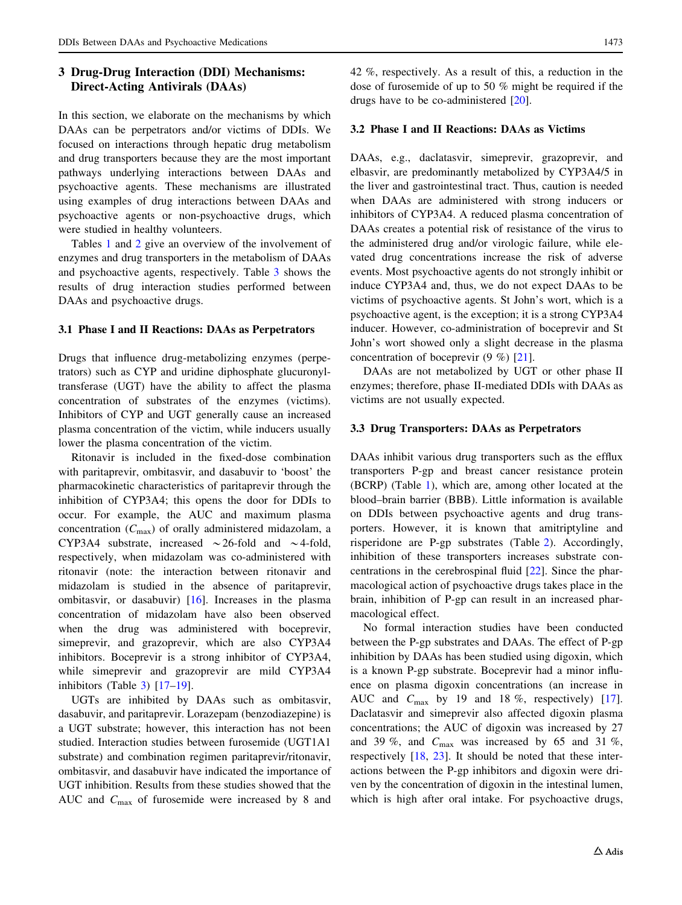# <span id="page-2-0"></span>3 Drug-Drug Interaction (DDI) Mechanisms: Direct-Acting Antivirals (DAAs)

In this section, we elaborate on the mechanisms by which DAAs can be perpetrators and/or victims of DDIs. We focused on interactions through hepatic drug metabolism and drug transporters because they are the most important pathways underlying interactions between DAAs and psychoactive agents. These mechanisms are illustrated using examples of drug interactions between DAAs and psychoactive agents or non-psychoactive drugs, which were studied in healthy volunteers.

Tables [1](#page-3-0) and [2](#page-5-0) give an overview of the involvement of enzymes and drug transporters in the metabolism of DAAs and psychoactive agents, respectively. Table [3](#page-10-0) shows the results of drug interaction studies performed between DAAs and psychoactive drugs.

# 3.1 Phase I and II Reactions: DAAs as Perpetrators

Drugs that influence drug-metabolizing enzymes (perpetrators) such as CYP and uridine diphosphate glucuronyltransferase (UGT) have the ability to affect the plasma concentration of substrates of the enzymes (victims). Inhibitors of CYP and UGT generally cause an increased plasma concentration of the victim, while inducers usually lower the plasma concentration of the victim.

Ritonavir is included in the fixed-dose combination with paritaprevir, ombitasvir, and dasabuvir to 'boost' the pharmacokinetic characteristics of paritaprevir through the inhibition of CYP3A4; this opens the door for DDIs to occur. For example, the AUC and maximum plasma concentration  $(C_{\text{max}})$  of orally administered midazolam, a CYP3A4 substrate, increased  $\sim$  26-fold and  $\sim$  4-fold, respectively, when midazolam was co-administered with ritonavir (note: the interaction between ritonavir and midazolam is studied in the absence of paritaprevir, ombitasvir, or dasabuvir) [\[16](#page-22-0)]. Increases in the plasma concentration of midazolam have also been observed when the drug was administered with boceprevir, simeprevir, and grazoprevir, which are also CYP3A4 inhibitors. Boceprevir is a strong inhibitor of CYP3A4, while simeprevir and grazoprevir are mild CYP3A4 inhibitors (Table [3\)](#page-10-0) [[17–19](#page-22-0)].

UGTs are inhibited by DAAs such as ombitasvir, dasabuvir, and paritaprevir. Lorazepam (benzodiazepine) is a UGT substrate; however, this interaction has not been studied. Interaction studies between furosemide (UGT1A1 substrate) and combination regimen paritaprevir/ritonavir, ombitasvir, and dasabuvir have indicated the importance of UGT inhibition. Results from these studies showed that the AUC and  $C_{\text{max}}$  of furosemide were increased by 8 and 42 %, respectively. As a result of this, a reduction in the dose of furosemide of up to 50 % might be required if the drugs have to be co-administered [[20\]](#page-22-0).

## 3.2 Phase I and II Reactions: DAAs as Victims

DAAs, e.g., daclatasvir, simeprevir, grazoprevir, and elbasvir, are predominantly metabolized by CYP3A4/5 in the liver and gastrointestinal tract. Thus, caution is needed when DAAs are administered with strong inducers or inhibitors of CYP3A4. A reduced plasma concentration of DAAs creates a potential risk of resistance of the virus to the administered drug and/or virologic failure, while elevated drug concentrations increase the risk of adverse events. Most psychoactive agents do not strongly inhibit or induce CYP3A4 and, thus, we do not expect DAAs to be victims of psychoactive agents. St John's wort, which is a psychoactive agent, is the exception; it is a strong CYP3A4 inducer. However, co-administration of boceprevir and St John's wort showed only a slight decrease in the plasma concentration of boceprevir (9 %) [[21\]](#page-22-0).

DAAs are not metabolized by UGT or other phase II enzymes; therefore, phase II-mediated DDIs with DAAs as victims are not usually expected.

## 3.3 Drug Transporters: DAAs as Perpetrators

DAAs inhibit various drug transporters such as the efflux transporters P-gp and breast cancer resistance protein (BCRP) (Table [1](#page-3-0)), which are, among other located at the blood–brain barrier (BBB). Little information is available on DDIs between psychoactive agents and drug transporters. However, it is known that amitriptyline and risperidone are P-gp substrates (Table [2\)](#page-5-0). Accordingly, inhibition of these transporters increases substrate concentrations in the cerebrospinal fluid [[22\]](#page-22-0). Since the pharmacological action of psychoactive drugs takes place in the brain, inhibition of P-gp can result in an increased pharmacological effect.

No formal interaction studies have been conducted between the P-gp substrates and DAAs. The effect of P-gp inhibition by DAAs has been studied using digoxin, which is a known P-gp substrate. Boceprevir had a minor influence on plasma digoxin concentrations (an increase in AUC and  $C_{\text{max}}$  by 19 and 18 %, respectively) [\[17](#page-22-0)]. Daclatasvir and simeprevir also affected digoxin plasma concentrations; the AUC of digoxin was increased by 27 and 39 %, and  $C_{\text{max}}$  was increased by 65 and 31 %, respectively [[18,](#page-22-0) [23](#page-22-0)]. It should be noted that these interactions between the P-gp inhibitors and digoxin were driven by the concentration of digoxin in the intestinal lumen, which is high after oral intake. For psychoactive drugs,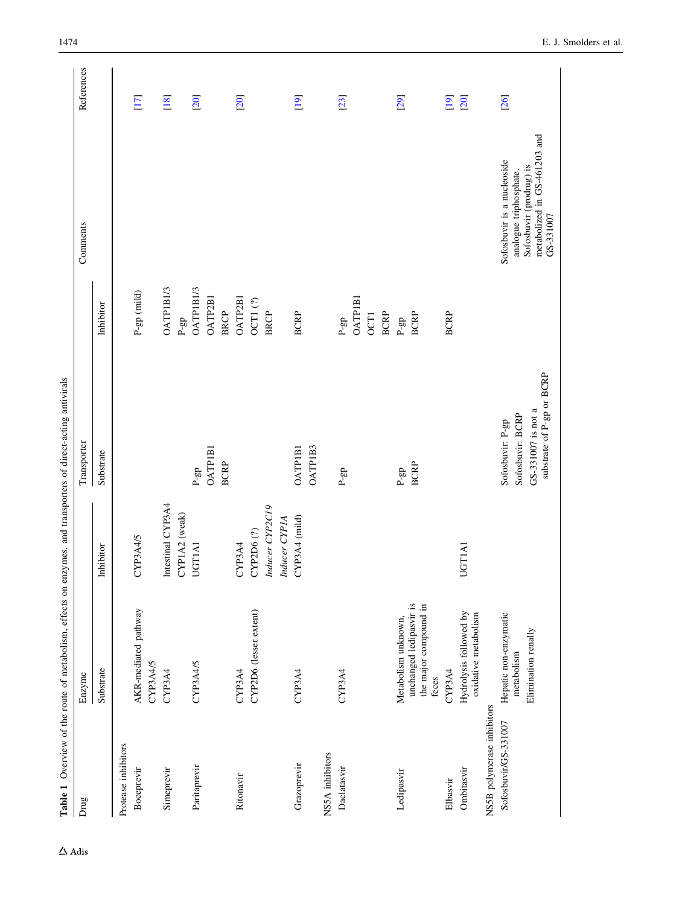Table 1 Overview of the route of metabolism, effects on enzymes, and transporters of direct-acting antivirals Table 1 Overview of the route of metabolism, effects on enzymes, and transporters of direct-acting antivirals

<span id="page-3-0"></span>

| Drug                       | Enzyme                                           |                   | Transporter                                     |                  | Comments                                                | References |
|----------------------------|--------------------------------------------------|-------------------|-------------------------------------------------|------------------|---------------------------------------------------------|------------|
|                            | Substrate                                        | Inhibitor         | Substrate                                       | Inhibitor        |                                                         |            |
| Protease inhibitors        |                                                  |                   |                                                 |                  |                                                         |            |
| Boceprevir                 | AKR-mediated pathway                             | CYP3A4/5          |                                                 | $P-gp$ (mild)    |                                                         | $[17]$     |
|                            | CYP3A4/5                                         |                   |                                                 |                  |                                                         |            |
| Simeprevir                 | CYP3A4                                           | Intestinal CYP3A4 |                                                 | <b>OATPIBI/3</b> |                                                         | [18]       |
|                            |                                                  | CYP1A2 (weak)     |                                                 | $P-gp$           |                                                         |            |
| Paritaprevir               | CYP3A4/5                                         | <b>UGTIA1</b>     | $P-gp$                                          | OATP1B1/3        |                                                         | [20]       |
|                            |                                                  |                   | <b>OATPIB1</b>                                  | <b>OATP2B1</b>   |                                                         |            |
|                            |                                                  |                   | <b>BCRP</b>                                     | <b>BRCP</b>      |                                                         |            |
| Ritonavir                  | CYP3A4                                           | CYP3A4            |                                                 | <b>OATP2B1</b>   |                                                         | [20]       |
|                            | CYP2D6 (lesser extent)                           | CYP2D6(?)         |                                                 | OCT1(?)          |                                                         |            |
|                            |                                                  | Inducer CYP2C19   |                                                 | <b>BRCP</b>      |                                                         |            |
|                            |                                                  | Inducer CYP1A     |                                                 |                  |                                                         |            |
| Grazoprevir                | CYP3A4                                           | CYP3A4 (mild)     | <b>OATPIB1</b>                                  | <b>BCRP</b>      |                                                         | [19]       |
|                            |                                                  |                   | OATP1B3                                         |                  |                                                         |            |
| NSSA inhibitors            |                                                  |                   |                                                 |                  |                                                         |            |
| Daclatasvir                | CYP3A4                                           |                   | $\rm P\mbox{-}gp$                               | $P$ -gp          |                                                         | [23]       |
|                            |                                                  |                   |                                                 | <b>OATPIBI</b>   |                                                         |            |
|                            |                                                  |                   |                                                 | OCT <sub>1</sub> |                                                         |            |
|                            |                                                  |                   |                                                 | <b>BCRP</b>      |                                                         |            |
| Ledipasvir                 | Metabolism unknown,                              |                   | $P$ -gp                                         | $P-gp$           |                                                         | [29]       |
|                            | unchanged ledipasvir is<br>the major compound in |                   | <b>BCRP</b>                                     | <b>BCRP</b>      |                                                         |            |
|                            | feces                                            |                   |                                                 |                  |                                                         |            |
| Elbasvir                   | CYP3A4                                           |                   |                                                 | <b>BCRP</b>      |                                                         | [19]       |
| Ombitasvir                 | Hydrolysis followed by<br>oxidative metabolism   | UGT1A1            |                                                 |                  |                                                         | [20]       |
| NS5B polymerase inhibitors |                                                  |                   |                                                 |                  |                                                         |            |
| Sofosbuvir/GS-331007       | Hepatic non-enzymatic<br>metabolism              |                   | Sofosbuvir: BCRP<br>Sofosbuvir: P-gp            |                  | Sofosbuvir is a nucleoside<br>analogue triphosphate.    | [26]       |
|                            | Elimination renally                              |                   | substrate of P-gp or BCRP<br>GS-331007 is not a |                  | metabolized in GS-461203 and<br>Sofosbuvir (prodrug) is |            |
|                            |                                                  |                   |                                                 |                  | GS-331007                                               |            |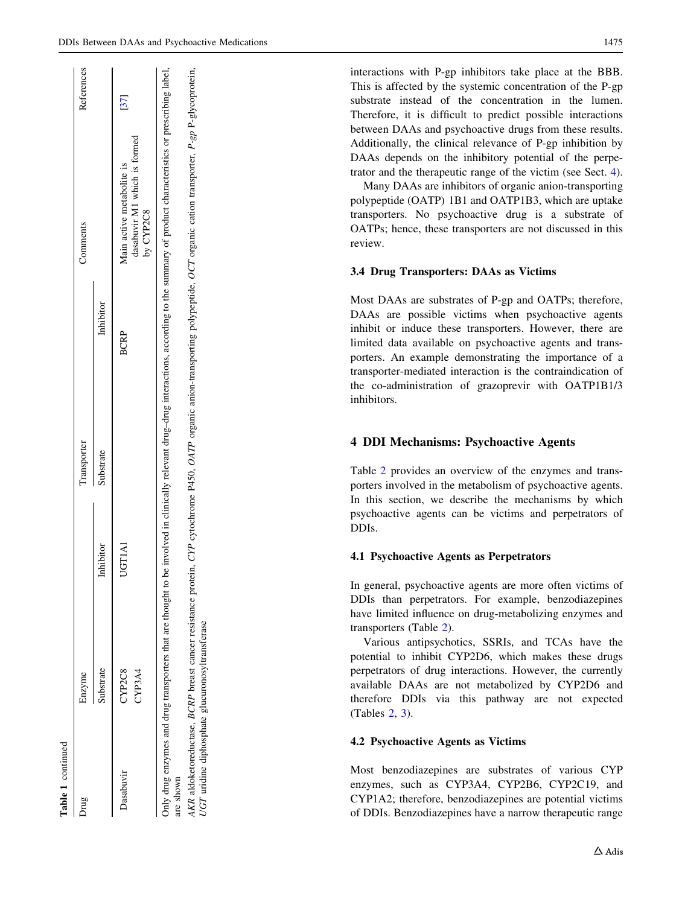interactions with P-gp inhibitors take place at the BBB. This is affected by the systemic concentration of the P-gp substrate instead of the concentration in the lumen. Therefore, it is difficult to predict possible interactions between DAAs and psychoactive drugs from these results. Additionally, the clinical relevance of P-gp inhibition by DAAs depends on the inhibitory potential of the perpetrator and the therapeutic range of the victim (see Sect. 4).

Many DAAs are inhibitors of organic anion-transporting polypeptide (OATP) 1B1 and OATP1B3, which are uptake transporters. No psychoactive drug is a substrate of OATPs; hence, these transporters are not discussed in this review.

#### 3.4 Drug Transporters: DAAs as Victims

Most DAAs are substrates of P-gp and OATPs; therefore, DAAs are possible victims when psychoactive agents inhibit or induce these transporters. However, there are limited data available on psychoactive agents and transporters. An example demonstrating the importance of a transporter-mediated interaction is the contraindication of the co-administration of grazoprevir with OATP1B1/3 inhibitors.

# 4 DDI Mechanisms: Psychoactive Agents

Table [2](#page-5-0) provides an overview of the enzymes and transporters involved in the metabolism of psychoactive agents. In this section, we describe the mechanisms by which psychoactive agents can be victims and perpetrators of DDIs.

## 4.1 Psychoactive Agents as Perpetrators

In general, psychoactive agents are more often victims of DDIs than perpetrators. For example, benzodiazepines have limited influence on drug-metabolizing enzymes and transporters (Table [2](#page-5-0)).

Various antipsychotics, SSRIs, and TCAs have the potential to inhibit CYP2D6, which makes these drugs perpetrators of drug interactions. However, the currently available DAAs are not metabolized by CYP2D6 and therefore DDIs via this pathway are not expected (Tables [2](#page-5-0), [3](#page-10-0)).

## 4.2 Psychoactive Agents as Victims

Most benzodiazepines are substrates of various CYP enzymes, such as CYP3A4, CYP2B6, CYP2C19, and CYP1A2; therefore, benzodiazepines are potential victims of DDIs. Benzodiazepines have a narrow therapeutic range

| rug       | Enzyme                                                        |           | Transporter |             | Comments                                                                                                                                                                                         | References |
|-----------|---------------------------------------------------------------|-----------|-------------|-------------|--------------------------------------------------------------------------------------------------------------------------------------------------------------------------------------------------|------------|
|           | Substrate                                                     | Inhibitor | Substrate   | Inhibitor   |                                                                                                                                                                                                  |            |
| Dasabuvir | CYP2C8                                                        | UGTIAI    |             | <b>BCRP</b> | Main active metabolite is                                                                                                                                                                        |            |
|           | CYP3A4                                                        |           |             |             | dasabuvir M1 which is formed<br>by CYP2C8                                                                                                                                                        |            |
| are shown |                                                               |           |             |             | only drug enzymes and drug transporters that are thought to be involved in clinically relevant drug-drug interactions, according to the summary of product characteristics or prescribing label, |            |
|           | AKR aldoketoreductase, BCRP breast cancer resistance protein, |           |             |             | CYP cytochrome P450, OATP organic anion-transporting polypeptide, OCT organic cation transporter, P-gp P-glycoprotein,                                                                           |            |

UGT uridine diphosphate glucuronosyltransferase

 $T$ 

uridine diphosphate glucuronosyltransferase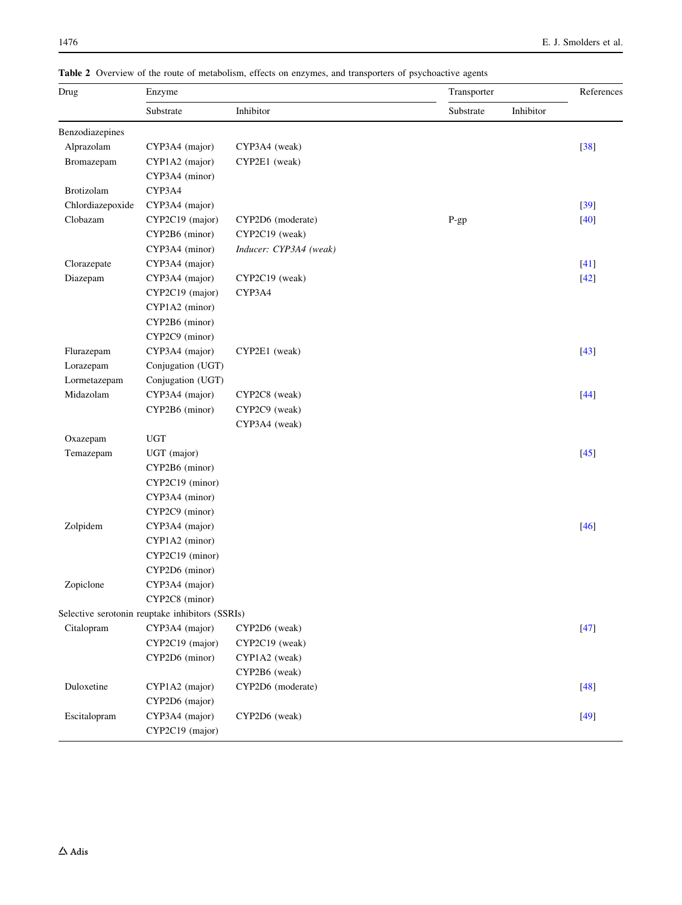| Drug             | Enzyme                                          |                        | Transporter |           | References |
|------------------|-------------------------------------------------|------------------------|-------------|-----------|------------|
|                  | Substrate                                       | Inhibitor              | Substrate   | Inhibitor |            |
| Benzodiazepines  |                                                 |                        |             |           |            |
| Alprazolam       | CYP3A4 (major)                                  | CYP3A4 (weak)          |             |           | $[38]$     |
| Bromazepam       | CYP1A2 (major)                                  | CYP2E1 (weak)          |             |           |            |
|                  | CYP3A4 (minor)                                  |                        |             |           |            |
| Brotizolam       | CYP3A4                                          |                        |             |           |            |
| Chlordiazepoxide | CYP3A4 (major)                                  |                        |             |           | $[39]$     |
| Clobazam         | CYP2C19 (major)                                 | CYP2D6 (moderate)      | P-gp        |           | $[40]$     |
|                  | CYP2B6 (minor)                                  | CYP2C19 (weak)         |             |           |            |
|                  | CYP3A4 (minor)                                  | Inducer: CYP3A4 (weak) |             |           |            |
| Clorazepate      | CYP3A4 (major)                                  |                        |             |           | $[41]$     |
| Diazepam         | CYP3A4 (major)                                  | CYP2C19 (weak)         |             |           | $[42]$     |
|                  | CYP2C19 (major)                                 | CYP3A4                 |             |           |            |
|                  | CYP1A2 (minor)                                  |                        |             |           |            |
|                  | CYP2B6 (minor)                                  |                        |             |           |            |
|                  | CYP2C9 (minor)                                  |                        |             |           |            |
| Flurazepam       | CYP3A4 (major)                                  | CYP2E1 (weak)          |             |           | $[43]$     |
| Lorazepam        | Conjugation (UGT)                               |                        |             |           |            |
| Lormetazepam     | Conjugation (UGT)                               |                        |             |           |            |
| Midazolam        | CYP3A4 (major)                                  | CYP2C8 (weak)          |             |           | $[44]$     |
|                  | CYP2B6 (minor)                                  | CYP2C9 (weak)          |             |           |            |
|                  |                                                 | CYP3A4 (weak)          |             |           |            |
| Oxazepam         | <b>UGT</b>                                      |                        |             |           |            |
| Temazepam        | UGT (major)                                     |                        |             |           | $[45]$     |
|                  | CYP2B6 (minor)                                  |                        |             |           |            |
|                  | CYP2C19 (minor)                                 |                        |             |           |            |
|                  | CYP3A4 (minor)                                  |                        |             |           |            |
|                  | CYP2C9 (minor)                                  |                        |             |           |            |
| Zolpidem         | CYP3A4 (major)                                  |                        |             |           | $[46]$     |
|                  | CYP1A2 (minor)                                  |                        |             |           |            |
|                  | CYP2C19 (minor)                                 |                        |             |           |            |
|                  | CYP2D6 (minor)                                  |                        |             |           |            |
| Zopiclone        | CYP3A4 (major)                                  |                        |             |           |            |
|                  | CYP2C8 (minor)                                  |                        |             |           |            |
|                  | Selective serotonin reuptake inhibitors (SSRIs) |                        |             |           |            |
| Citalopram       | CYP3A4 (major)                                  | CYP2D6 (weak)          |             |           | $[47]$     |
|                  | CYP2C19 (major)                                 | CYP2C19 (weak)         |             |           |            |
|                  | CYP2D6 (minor)                                  | CYP1A2 (weak)          |             |           |            |
|                  |                                                 | CYP2B6 (weak)          |             |           |            |
| Duloxetine       | CYP1A2 (major)                                  | CYP2D6 (moderate)      |             |           | $[48]$     |
|                  | CYP2D6 (major)                                  |                        |             |           |            |
| Escitalopram     | CYP3A4 (major)                                  | CYP2D6 (weak)          |             |           | $[49]$     |
|                  | CYP2C19 (major)                                 |                        |             |           |            |

<span id="page-5-0"></span>Table 2 Overview of the route of metabolism, effects on enzymes, and transporters of psychoactive agents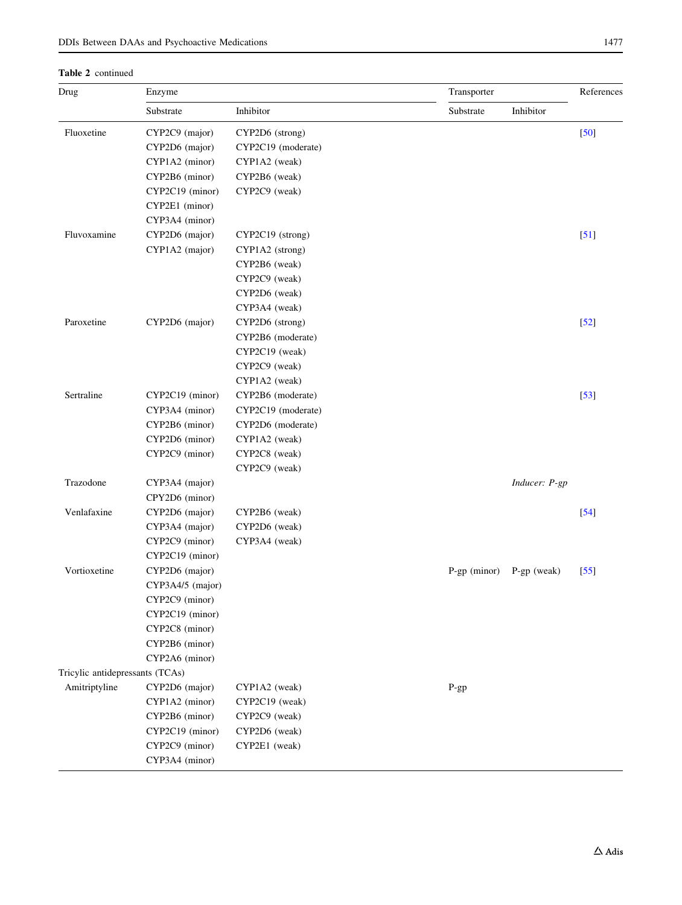Table 2 continued

| Drug                            | Enzyme           |                    | Transporter    |               | References        |
|---------------------------------|------------------|--------------------|----------------|---------------|-------------------|
|                                 | Substrate        | Inhibitor          | Substrate      | Inhibitor     |                   |
| Fluoxetine                      | CYP2C9 (major)   | CYP2D6 (strong)    |                |               | $[50]$            |
|                                 | CYP2D6 (major)   | CYP2C19 (moderate) |                |               |                   |
|                                 | CYP1A2 (minor)   | CYP1A2 (weak)      |                |               |                   |
|                                 | CYP2B6 (minor)   | CYP2B6 (weak)      |                |               |                   |
|                                 | CYP2C19 (minor)  | CYP2C9 (weak)      |                |               |                   |
|                                 | CYP2E1 (minor)   |                    |                |               |                   |
|                                 | CYP3A4 (minor)   |                    |                |               |                   |
| Fluvoxamine                     | CYP2D6 (major)   | CYP2C19 (strong)   |                |               | [51]              |
|                                 | CYP1A2 (major)   | CYP1A2 (strong)    |                |               |                   |
|                                 |                  | CYP2B6 (weak)      |                |               |                   |
|                                 |                  | CYP2C9 (weak)      |                |               |                   |
|                                 |                  | CYP2D6 (weak)      |                |               |                   |
|                                 |                  | CYP3A4 (weak)      |                |               |                   |
| Paroxetine                      | CYP2D6 (major)   | CYP2D6 (strong)    |                |               | $[52]$            |
|                                 |                  | CYP2B6 (moderate)  |                |               |                   |
|                                 |                  | CYP2C19 (weak)     |                |               |                   |
|                                 |                  | CYP2C9 (weak)      |                |               |                   |
|                                 |                  | CYP1A2 (weak)      |                |               |                   |
| Sertraline                      | CYP2C19 (minor)  | CYP2B6 (moderate)  |                |               | $[53]$            |
|                                 | CYP3A4 (minor)   | CYP2C19 (moderate) |                |               |                   |
|                                 | CYP2B6 (minor)   | CYP2D6 (moderate)  |                |               |                   |
|                                 | CYP2D6 (minor)   | CYP1A2 (weak)      |                |               |                   |
|                                 | CYP2C9 (minor)   | CYP2C8 (weak)      |                |               |                   |
|                                 |                  | CYP2C9 (weak)      |                |               |                   |
| Trazodone                       | CYP3A4 (major)   |                    |                | Inducer: P-gp |                   |
|                                 | CPY2D6 (minor)   |                    |                |               |                   |
| Venlafaxine                     | CYP2D6 (major)   | CYP2B6 (weak)      |                |               | $[54]$            |
|                                 | CYP3A4 (major)   | CYP2D6 (weak)      |                |               |                   |
|                                 | CYP2C9 (minor)   | CYP3A4 (weak)      |                |               |                   |
|                                 | CYP2C19 (minor)  |                    |                |               |                   |
| Vortioxetine                    | CYP2D6 (major)   |                    | $P-gp$ (minor) | $P-gp$ (weak) | $\left[55\right]$ |
|                                 | CYP3A4/5 (major) |                    |                |               |                   |
|                                 | CYP2C9 (minor)   |                    |                |               |                   |
|                                 | CYP2C19 (minor)  |                    |                |               |                   |
|                                 | CYP2C8 (minor)   |                    |                |               |                   |
|                                 | CYP2B6 (minor)   |                    |                |               |                   |
|                                 | CYP2A6 (minor)   |                    |                |               |                   |
| Tricylic antidepressants (TCAs) |                  |                    |                |               |                   |
| Amitriptyline                   | CYP2D6 (major)   | CYP1A2 (weak)      | P-gp           |               |                   |
|                                 | CYP1A2 (minor)   | CYP2C19 (weak)     |                |               |                   |
|                                 | CYP2B6 (minor)   | CYP2C9 (weak)      |                |               |                   |
|                                 | CYP2C19 (minor)  | CYP2D6 (weak)      |                |               |                   |
|                                 | CYP2C9 (minor)   | CYP2E1 (weak)      |                |               |                   |
|                                 | CYP3A4 (minor)   |                    |                |               |                   |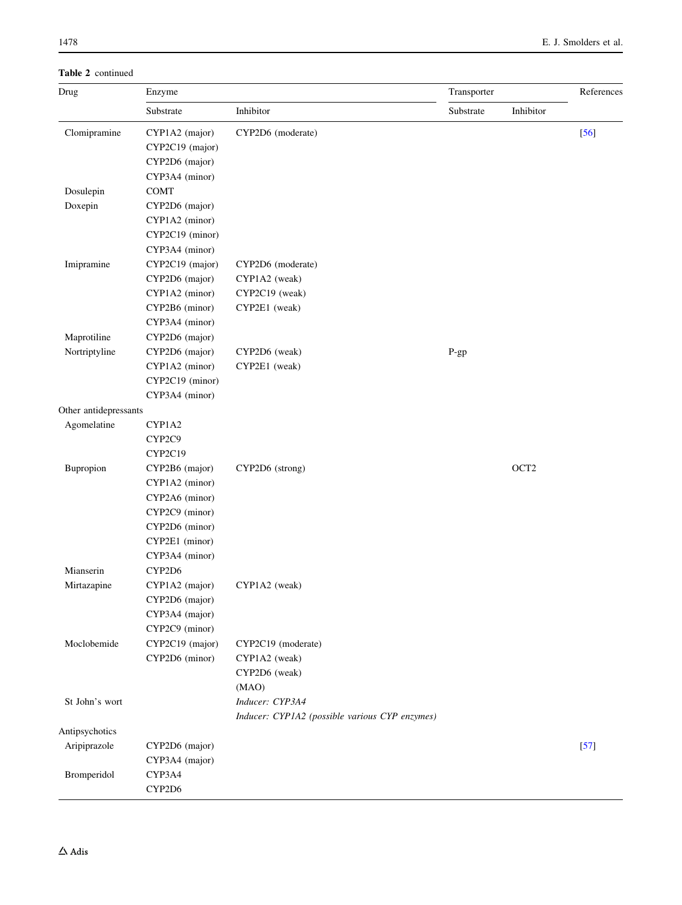Table 2 continued

| Drug                  | Enzyme          |                                                | Transporter |                  | References |
|-----------------------|-----------------|------------------------------------------------|-------------|------------------|------------|
|                       | Substrate       | Inhibitor                                      | Substrate   | Inhibitor        |            |
| Clomipramine          | CYP1A2 (major)  | CYP2D6 (moderate)                              |             |                  | $[56]$     |
|                       | CYP2C19 (major) |                                                |             |                  |            |
|                       | CYP2D6 (major)  |                                                |             |                  |            |
|                       | CYP3A4 (minor)  |                                                |             |                  |            |
| Dosulepin             | <b>COMT</b>     |                                                |             |                  |            |
| Doxepin               | CYP2D6 (major)  |                                                |             |                  |            |
|                       | CYP1A2 (minor)  |                                                |             |                  |            |
|                       | CYP2C19 (minor) |                                                |             |                  |            |
|                       | CYP3A4 (minor)  |                                                |             |                  |            |
| Imipramine            | CYP2C19 (major) | CYP2D6 (moderate)                              |             |                  |            |
|                       | CYP2D6 (major)  | CYP1A2 (weak)                                  |             |                  |            |
|                       | CYP1A2 (minor)  | CYP2C19 (weak)                                 |             |                  |            |
|                       | CYP2B6 (minor)  | CYP2E1 (weak)                                  |             |                  |            |
|                       | CYP3A4 (minor)  |                                                |             |                  |            |
| Maprotiline           | CYP2D6 (major)  |                                                |             |                  |            |
| Nortriptyline         | CYP2D6 (major)  | CYP2D6 (weak)                                  | $P-gp$      |                  |            |
|                       | CYP1A2 (minor)  | CYP2E1 (weak)                                  |             |                  |            |
|                       | CYP2C19 (minor) |                                                |             |                  |            |
|                       | CYP3A4 (minor)  |                                                |             |                  |            |
| Other antidepressants |                 |                                                |             |                  |            |
| Agomelatine           | CYP1A2          |                                                |             |                  |            |
|                       | CYP2C9          |                                                |             |                  |            |
|                       | CYP2C19         |                                                |             |                  |            |
| Bupropion             | CYP2B6 (major)  | CYP2D6 (strong)                                |             | OCT <sub>2</sub> |            |
|                       | CYP1A2 (minor)  |                                                |             |                  |            |
|                       | CYP2A6 (minor)  |                                                |             |                  |            |
|                       | CYP2C9 (minor)  |                                                |             |                  |            |
|                       | CYP2D6 (minor)  |                                                |             |                  |            |
|                       | CYP2E1 (minor)  |                                                |             |                  |            |
|                       | CYP3A4 (minor)  |                                                |             |                  |            |
| Mianserin             | CYP2D6          |                                                |             |                  |            |
| Mirtazapine           | CYP1A2 (major)  | CYP1A2 (weak)                                  |             |                  |            |
|                       | CYP2D6 (major)  |                                                |             |                  |            |
|                       | CYP3A4 (major)  |                                                |             |                  |            |
|                       | CYP2C9 (minor)  |                                                |             |                  |            |
| Moclobemide           | CYP2C19 (major) | CYP2C19 (moderate)                             |             |                  |            |
|                       | CYP2D6 (minor)  | CYP1A2 (weak)                                  |             |                  |            |
|                       |                 | CYP2D6 (weak)                                  |             |                  |            |
|                       |                 | (MAO)                                          |             |                  |            |
| St John's wort        |                 | Inducer: CYP3A4                                |             |                  |            |
|                       |                 | Inducer: CYP1A2 (possible various CYP enzymes) |             |                  |            |
| Antipsychotics        |                 |                                                |             |                  |            |
| Aripiprazole          | CYP2D6 (major)  |                                                |             |                  | $[57]$     |
|                       | CYP3A4 (major)  |                                                |             |                  |            |
| Bromperidol           | CYP3A4          |                                                |             |                  |            |
|                       | CYP2D6          |                                                |             |                  |            |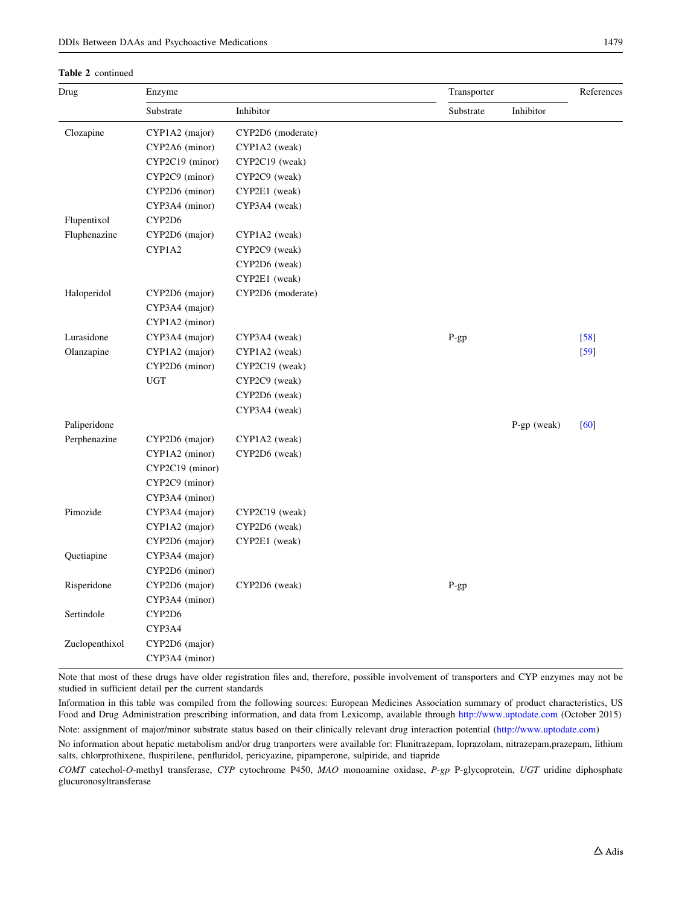#### Table 2 continued

| Drug           | Enzyme          |                   | Transporter |               | References |
|----------------|-----------------|-------------------|-------------|---------------|------------|
|                | Substrate       | Inhibitor         | Substrate   | Inhibitor     |            |
| Clozapine      | CYP1A2 (major)  | CYP2D6 (moderate) |             |               |            |
|                | CYP2A6 (minor)  | CYP1A2 (weak)     |             |               |            |
|                | CYP2C19 (minor) | CYP2C19 (weak)    |             |               |            |
|                | CYP2C9 (minor)  | CYP2C9 (weak)     |             |               |            |
|                | CYP2D6 (minor)  | CYP2E1 (weak)     |             |               |            |
|                | CYP3A4 (minor)  | CYP3A4 (weak)     |             |               |            |
| Flupentixol    | CYP2D6          |                   |             |               |            |
| Fluphenazine   | CYP2D6 (major)  | CYP1A2 (weak)     |             |               |            |
|                | CYP1A2          | CYP2C9 (weak)     |             |               |            |
|                |                 | CYP2D6 (weak)     |             |               |            |
|                |                 | CYP2E1 (weak)     |             |               |            |
| Haloperidol    | CYP2D6 (major)  | CYP2D6 (moderate) |             |               |            |
|                | CYP3A4 (major)  |                   |             |               |            |
|                | CYP1A2 (minor)  |                   |             |               |            |
| Lurasidone     | CYP3A4 (major)  | CYP3A4 (weak)     | P-gp        |               | $[58]$     |
| Olanzapine     | CYP1A2 (major)  | CYP1A2 (weak)     |             |               | $[59]$     |
|                | CYP2D6 (minor)  | CYP2C19 (weak)    |             |               |            |
|                | <b>UGT</b>      | CYP2C9 (weak)     |             |               |            |
|                |                 | CYP2D6 (weak)     |             |               |            |
|                |                 | CYP3A4 (weak)     |             |               |            |
| Paliperidone   |                 |                   |             | $P-gp$ (weak) | [60]       |
| Perphenazine   | CYP2D6 (major)  | CYP1A2 (weak)     |             |               |            |
|                | CYP1A2 (minor)  | CYP2D6 (weak)     |             |               |            |
|                | CYP2C19 (minor) |                   |             |               |            |
|                | CYP2C9 (minor)  |                   |             |               |            |
|                | CYP3A4 (minor)  |                   |             |               |            |
| Pimozide       | CYP3A4 (major)  | CYP2C19 (weak)    |             |               |            |
|                | CYP1A2 (major)  | CYP2D6 (weak)     |             |               |            |
|                | CYP2D6 (major)  | CYP2E1 (weak)     |             |               |            |
| Quetiapine     | CYP3A4 (major)  |                   |             |               |            |
|                | CYP2D6 (minor)  |                   |             |               |            |
| Risperidone    | CYP2D6 (major)  | CYP2D6 (weak)     | $P-gp$      |               |            |
|                | CYP3A4 (minor)  |                   |             |               |            |
| Sertindole     | CYP2D6          |                   |             |               |            |
|                | CYP3A4          |                   |             |               |            |
| Zuclopenthixol | CYP2D6 (major)  |                   |             |               |            |
|                | CYP3A4 (minor)  |                   |             |               |            |

Note that most of these drugs have older registration files and, therefore, possible involvement of transporters and CYP enzymes may not be studied in sufficient detail per the current standards

Information in this table was compiled from the following sources: European Medicines Association summary of product characteristics, US Food and Drug Administration prescribing information, and data from Lexicomp, available through <http://www.uptodate.com> (October 2015) Note: assignment of major/minor substrate status based on their clinically relevant drug interaction potential ([http://www.uptodate.com\)](http://www.uptodate.com)

No information about hepatic metabolism and/or drug tranporters were available for: Flunitrazepam, loprazolam, nitrazepam,prazepam, lithium salts, chlorprothixene, fluspirilene, penfluridol, pericyazine, pipamperone, sulpiride, and tiapride

COMT catechol-O-methyl transferase, CYP cytochrome P450, MAO monoamine oxidase, P-gp P-glycoprotein, UGT uridine diphosphate glucuronosyltransferase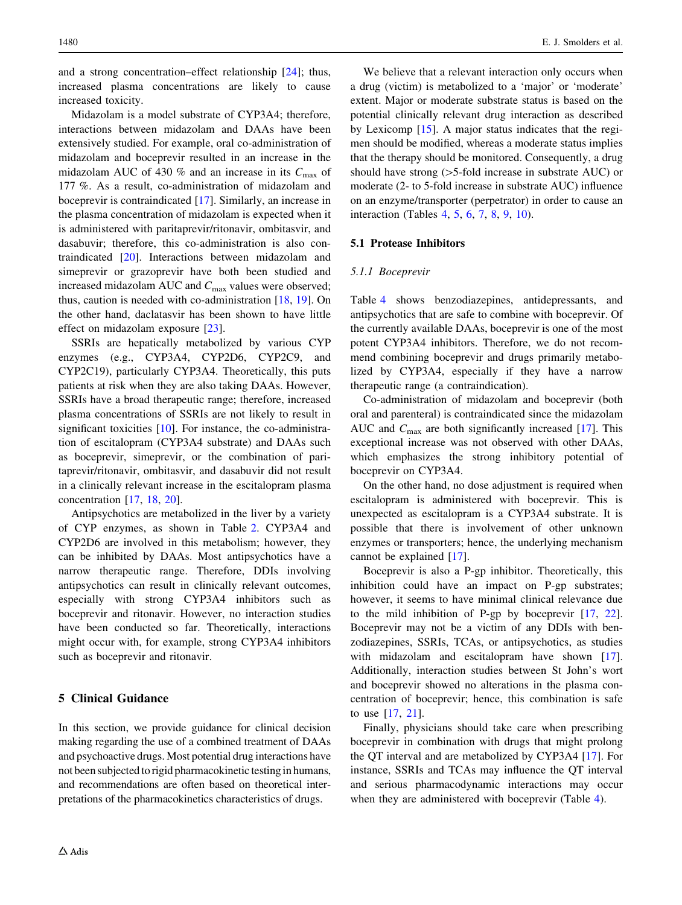and a strong concentration–effect relationship [[24\]](#page-22-0); thus, increased plasma concentrations are likely to cause increased toxicity.

Midazolam is a model substrate of CYP3A4; therefore, interactions between midazolam and DAAs have been extensively studied. For example, oral co-administration of midazolam and boceprevir resulted in an increase in the midazolam AUC of 430 % and an increase in its  $C_{\text{max}}$  of 177 %. As a result, co-administration of midazolam and boceprevir is contraindicated [\[17](#page-22-0)]. Similarly, an increase in the plasma concentration of midazolam is expected when it is administered with paritaprevir/ritonavir, ombitasvir, and dasabuvir; therefore, this co-administration is also contraindicated [\[20](#page-22-0)]. Interactions between midazolam and simeprevir or grazoprevir have both been studied and increased midazolam AUC and  $C_{\text{max}}$  values were observed; thus, caution is needed with co-administration [\[18](#page-22-0), [19](#page-22-0)]. On the other hand, daclatasvir has been shown to have little effect on midazolam exposure [\[23](#page-22-0)].

SSRIs are hepatically metabolized by various CYP enzymes (e.g., CYP3A4, CYP2D6, CYP2C9, and CYP2C19), particularly CYP3A4. Theoretically, this puts patients at risk when they are also taking DAAs. However, SSRIs have a broad therapeutic range; therefore, increased plasma concentrations of SSRIs are not likely to result in significant toxicities [[10\]](#page-22-0). For instance, the co-administration of escitalopram (CYP3A4 substrate) and DAAs such as boceprevir, simeprevir, or the combination of paritaprevir/ritonavir, ombitasvir, and dasabuvir did not result in a clinically relevant increase in the escitalopram plasma concentration [\[17](#page-22-0), [18](#page-22-0), [20\]](#page-22-0).

Antipsychotics are metabolized in the liver by a variety of CYP enzymes, as shown in Table [2](#page-5-0). CYP3A4 and CYP2D6 are involved in this metabolism; however, they can be inhibited by DAAs. Most antipsychotics have a narrow therapeutic range. Therefore, DDIs involving antipsychotics can result in clinically relevant outcomes, especially with strong CYP3A4 inhibitors such as boceprevir and ritonavir. However, no interaction studies have been conducted so far. Theoretically, interactions might occur with, for example, strong CYP3A4 inhibitors such as boceprevir and ritonavir.

# 5 Clinical Guidance

In this section, we provide guidance for clinical decision making regarding the use of a combined treatment of DAAs and psychoactive drugs. Most potential drug interactions have not been subjected to rigid pharmacokinetic testing in humans, and recommendations are often based on theoretical interpretations of the pharmacokinetics characteristics of drugs.

We believe that a relevant interaction only occurs when a drug (victim) is metabolized to a 'major' or 'moderate' extent. Major or moderate substrate status is based on the potential clinically relevant drug interaction as described by Lexicomp [\[15](#page-22-0)]. A major status indicates that the regimen should be modified, whereas a moderate status implies that the therapy should be monitored. Consequently, a drug should have strong  $(>5$ -fold increase in substrate AUC) or moderate (2- to 5-fold increase in substrate AUC) influence on an enzyme/transporter (perpetrator) in order to cause an interaction (Tables [4,](#page-11-0) [5,](#page-12-0) [6](#page-13-0), [7](#page-15-0), [8,](#page-17-0) [9,](#page-19-0) [10\)](#page-20-0).

## 5.1 Protease Inhibitors

#### 5.1.1 Boceprevir

Table [4](#page-11-0) shows benzodiazepines, antidepressants, and antipsychotics that are safe to combine with boceprevir. Of the currently available DAAs, boceprevir is one of the most potent CYP3A4 inhibitors. Therefore, we do not recommend combining boceprevir and drugs primarily metabolized by CYP3A4, especially if they have a narrow therapeutic range (a contraindication).

Co-administration of midazolam and boceprevir (both oral and parenteral) is contraindicated since the midazolam AUC and  $C_{\text{max}}$  are both significantly increased [\[17](#page-22-0)]. This exceptional increase was not observed with other DAAs, which emphasizes the strong inhibitory potential of boceprevir on CYP3A4.

On the other hand, no dose adjustment is required when escitalopram is administered with boceprevir. This is unexpected as escitalopram is a CYP3A4 substrate. It is possible that there is involvement of other unknown enzymes or transporters; hence, the underlying mechanism cannot be explained [[17\]](#page-22-0).

Boceprevir is also a P-gp inhibitor. Theoretically, this inhibition could have an impact on P-gp substrates; however, it seems to have minimal clinical relevance due to the mild inhibition of P-gp by boceprevir [[17](#page-22-0), [22](#page-22-0)]. Boceprevir may not be a victim of any DDIs with benzodiazepines, SSRIs, TCAs, or antipsychotics, as studies with midazolam and escitalopram have shown [\[17](#page-22-0)]. Additionally, interaction studies between St John's wort and boceprevir showed no alterations in the plasma concentration of boceprevir; hence, this combination is safe to use [[17,](#page-22-0) [21\]](#page-22-0).

Finally, physicians should take care when prescribing boceprevir in combination with drugs that might prolong the QT interval and are metabolized by CYP3A4 [[17\]](#page-22-0). For instance, SSRIs and TCAs may influence the QT interval and serious pharmacodynamic interactions may occur when they are administered with boceprevir (Table [4](#page-11-0)).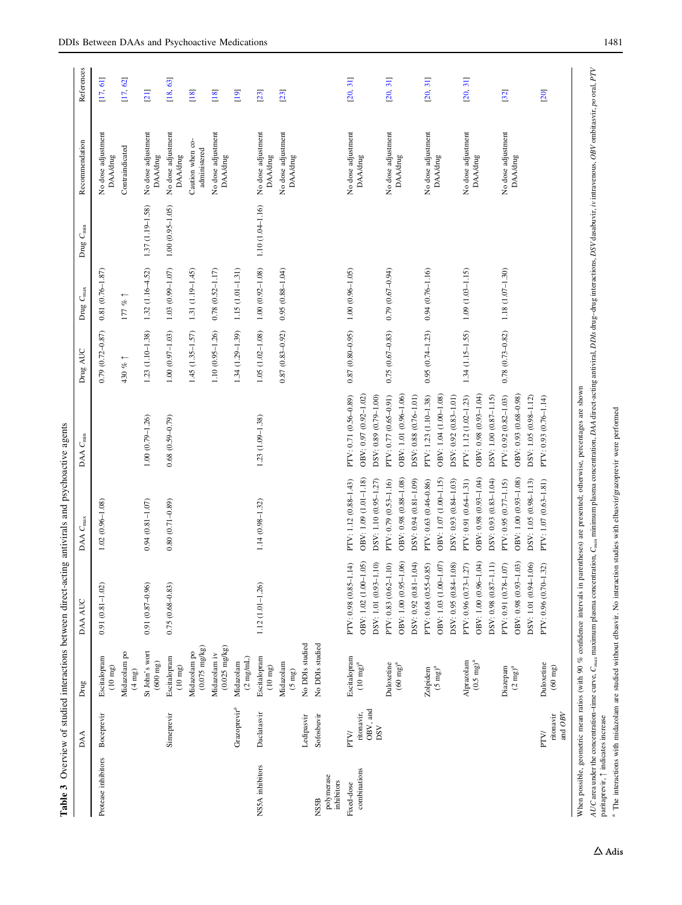<span id="page-10-0"></span>

|                                         | DAA                           | Drug                                    | DAA AUC                                                                 | DAA C <sub>max</sub>                                                    | DAA C <sub>min</sub>                                                                                                                 | Drug AUC            | Drug $C_{\rm max}$     | Drug C <sub>min</sub> | Recommendation                        | References |
|-----------------------------------------|-------------------------------|-----------------------------------------|-------------------------------------------------------------------------|-------------------------------------------------------------------------|--------------------------------------------------------------------------------------------------------------------------------------|---------------------|------------------------|-----------------------|---------------------------------------|------------|
| Protease inhibitors                     | Boceprevir                    | Escitalopram<br>$(10 \text{ mg})$       | $0.91(0.81 - 1.02)$                                                     | $1.02(0.96 - 1.08)$                                                     |                                                                                                                                      | $0.79(0.72 - 0.87)$ | $0.81(0.76-1.87)$      |                       | No dose adjustment<br><b>DAA/drug</b> | [17, 61]   |
|                                         |                               | Midazolam po<br>$(4 \text{ mg})$        |                                                                         |                                                                         |                                                                                                                                      | 430 % 1             | $177~\%$ $\uparrow$    |                       | Contraindicated                       | [17, 62]   |
|                                         |                               | St John's wort<br>$(600 \text{ mg})$    | $0.91(0.87 - 0.96)$                                                     | $0.94(0.81 - 1.07)$                                                     | $1.00(0.79 - 1.26)$                                                                                                                  | $1.23(1.10 - 1.38)$ | $1.32(1.16 - 4.52)$    | 1.37 (1.19-1.58)      | No dose adjustment<br><b>DAA/drug</b> | [21]       |
|                                         | Simeprevir                    | Escitalopram<br>$(10 \text{ mg})$       | $0.75(0.68 - 0.83)$                                                     | $0.80(0.71 - 0.89)$                                                     | $0.68$ $(0.59 - 0.79)$                                                                                                               | $1.00(0.97 - 1.03)$ | $1.03(0.99 - 1.07)$    | $1.00(0.95 - 1.05)$   | No dose adjustment<br><b>DAA/drug</b> | [18, 63]   |
|                                         |                               | $(0.075 \text{ mg/kg})$<br>Midazolam po |                                                                         |                                                                         |                                                                                                                                      | 1.45 (1.35-1.57)    | 1.31 (1.19-1.45)       |                       | Caution when co-<br>administered      | $[18]$     |
|                                         |                               | $(0.025 \text{ mg/kg})$<br>Midazolam iv |                                                                         |                                                                         |                                                                                                                                      | $1.10(0.95 - 1.26)$ | $0.78$ $(0.52 - 1.17)$ |                       | No dose adjustment<br><b>DAA/drug</b> | [18]       |
|                                         | Grazoprevir <sup>a</sup>      | $(2 \text{ mg/mL})$<br>Midazolam        |                                                                         |                                                                         |                                                                                                                                      | $1.34(1.29-1.39)$   | $1.15(1.01 - 1.31)$    |                       |                                       | [19]       |
| NS5A inhibitors                         | Daclatasvir                   | Escitalopram<br>$(10~\mathrm{mg})$      | 1.12 (1.01-1.26)                                                        | 1.14 (0.98-1.32)                                                        | 1.23 (1.09-1.38)                                                                                                                     | $1.05(1.02 - 1.08)$ | $1.00(0.92 - 1.08)$    | $1.10(1.04 - 1.16)$   | No dose adjustment<br><b>DAA/drug</b> | [23]       |
|                                         |                               | Midazolam<br>$(5 \text{ mg})$           |                                                                         |                                                                         |                                                                                                                                      | $0.87(0.83 - 0.92)$ | $0.95(0.88 - 1.04)$    |                       | No dose adjustment<br><b>DAA/drug</b> | [23]       |
|                                         | Ledipasvir                    | No DDIs studied                         |                                                                         |                                                                         |                                                                                                                                      |                     |                        |                       |                                       |            |
| polymerase<br>inhibitors<br><b>NSSB</b> | Sofosbuvir                    | No DDIs studied                         |                                                                         |                                                                         |                                                                                                                                      |                     |                        |                       |                                       |            |
| combinations<br>Fixed-dose              | OBV, and<br>ritonavir,<br>PTV | Escitalopram<br>$(10~{\rm mg})^{\rm a}$ | OBV: 1.02 (1.00-1.05)<br>PTV: 0.98 (0.85-1.14)                          | OBV: 1.09 (1.01-1.18)<br>PTV: 1.12 (0.88-1.43)                          | OBV: 0.97 (0.92-1.02)<br>PTV: 0.71 (0.56-0.89)                                                                                       | $0.87(0.80 - 0.95)$ | $1.00(0.96 - 1.05)$    |                       | No dose adjustment<br><b>DAA/drug</b> | [20, 31]   |
|                                         | DSV                           |                                         | DSV: 1.01 (0.93-1.10)                                                   | DSV: 1.10 (0.95-1.27)                                                   | DSV: 0.89 (0.79-1.00)                                                                                                                |                     |                        |                       |                                       |            |
|                                         |                               | $(60 \text{ mg})^a$<br>Duloxetine       | OBV: 1.00 (0.95-1.06)<br>DSV: 0.92 (0.81-1.04)<br>PTV: 0.83 (0.62-1.10) | OBV: 0.98 (0.88-1.08)<br>DSV: 0.94 (0.81-1.09)<br>PTV: 0.79 (0.53-1.16) | PTV: 0.77 (0.65-0.91)<br>OBV: 1.01 (0.96-1.06)<br>DSV: 0.88 (0.76-1.01)                                                              | $0.75(0.67 - 0.83)$ | $0.79(0.67 - 0.94)$    |                       | No dose adjustment<br><b>DAA/drug</b> | [20, 31]   |
|                                         |                               | $Z$ olpidem<br>(5 mg) <sup>a</sup>      | 85)<br>PTV: 0.68 (0.55-0.                                               | PTV: 0.63 (0.46-0.86)                                                   | PTV: 1.23 (1.10-1.38)                                                                                                                | $0.95(0.74 - 1.23)$ | $0.94(0.76 - 1.16)$    |                       | No dose adjustment                    | [20, 31]   |
|                                         |                               |                                         | OBV: 1.03 (1.00-1.07)                                                   | OBV: 1.07 (1.00-1.15)                                                   | OBV: 1.04 (1.00-1.08)                                                                                                                |                     |                        |                       | <b>DAA/drug</b>                       |            |
|                                         |                               |                                         | DSV: 0.95 (0.84-1.08)                                                   | DSV: 0.93 (0.84-1.03)                                                   | DSV: 0.92 (0.83-1.01)                                                                                                                |                     |                        |                       |                                       |            |
|                                         |                               | Alprazolam<br>$(0.5 \text{ mg})^a$      | PTV: 0.96 (0.73-1.27)                                                   | PTV: 0.91 (0.64-1.31)                                                   | PTV: 1.12 (1.02-1.23)                                                                                                                | $1.34(1.15 - 1.55)$ | $1.09(1.03 - 1.15)$    |                       | No dose adjustment<br><b>DAA/drug</b> | [20, 31]   |
|                                         |                               |                                         | OBV: 1.00 (0.96-1.04)<br>DSV: 0.98 (0.87-1.11)                          | OBV: 0.98 (0.93-1.04)<br>DSV: 0.93 (0.83-1.04)                          | OBV: 0.98 (0.93-1.04)<br>DSV: 1.00 (0.87-1.15)                                                                                       |                     |                        |                       |                                       |            |
|                                         |                               | Diazepam                                | PTV: 0.91 (0.78-1.07)                                                   | PTV: 0.95 (0.77-1.15)                                                   | PTV: 0.92 (0.82-1.03)                                                                                                                | $0.78(0.73 - 0.82)$ | 1.18 (1.07-1.30)       |                       | No dose adjustment                    | [32]       |
|                                         |                               | $(2 \; m g)^a$                          | OBV: 0.98 (0.93-1.03)                                                   | OBV: 1.00 (0.93-1.08)                                                   | OBV: 0.93 (0.68-0.98)                                                                                                                |                     |                        |                       | <b>DAA/drug</b>                       |            |
|                                         |                               |                                         | DSV: 1.01 (0.94-1.06)                                                   | DSV: 1.05 (0.98-1.13)                                                   | DSV: 1.05 (0.98-1.12)                                                                                                                |                     |                        |                       |                                       |            |
|                                         | PTV/                          | Duloxetine                              | PTV: 0.96 (0.70-1.32)                                                   | PTV: 1.07 (0.63-1.81)                                                   | PTV: 0.93 (0.76-1.14)                                                                                                                |                     |                        |                       |                                       | [20]       |
|                                         | and $OBV$<br>ritonavir        | $(60 \text{ mg})$                       |                                                                         |                                                                         |                                                                                                                                      |                     |                        |                       |                                       |            |
|                                         |                               |                                         |                                                                         |                                                                         | When possible, geometric mean ratios (with 90 % confidence intervals in parentheses) are presented; otherwise, percentages are shown |                     |                        |                       |                                       |            |

AUC area under the concentration-time curve,  $C_{max}$  maximum plasma concentration,  $C_{min}$  minimum plasma concentration, DAA direct-acting antiviral, DDAs drug-drug interactions, DSV dasabuvir, iv intravenous, OBV ombitasvi AUC area under the concentration-time curve,  $C_{mn}$  maximum plasma concentration,  $C_{mn}$  minimum plasma concentration, DAA direct-acting antiviral, DDIs drug-drug interactions, DSV dasabuvir, iv intravenous, OBV ombitasvi paritaprevir,  $\uparrow$  indicates increase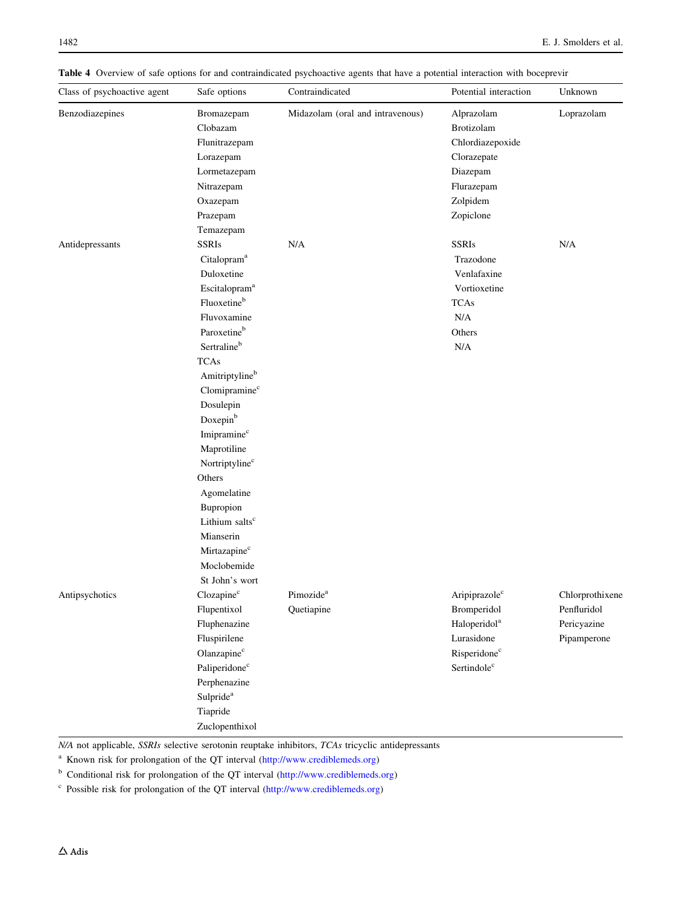<span id="page-11-0"></span>Table 4 Overview of safe options for and contraindicated psychoactive agents that have a potential interaction with boceprevir

| Class of psychoactive agent | Safe options               | Contraindicated                  | Potential interaction     | Unknown         |
|-----------------------------|----------------------------|----------------------------------|---------------------------|-----------------|
| Benzodiazepines             | Bromazepam                 | Midazolam (oral and intravenous) | Alprazolam                | Loprazolam      |
|                             | Clobazam                   |                                  | Brotizolam                |                 |
|                             | Flunitrazepam              |                                  | Chlordiazepoxide          |                 |
|                             | Lorazepam                  |                                  | Clorazepate               |                 |
|                             | Lormetazepam               |                                  | Diazepam                  |                 |
|                             | Nitrazepam                 |                                  | Flurazepam                |                 |
|                             | Oxazepam                   |                                  | Zolpidem                  |                 |
|                             | Prazepam                   |                                  | Zopiclone                 |                 |
|                             | Temazepam                  |                                  |                           |                 |
| Antidepressants             | <b>SSRIs</b>               | N/A                              | <b>SSRIs</b>              | N/A             |
|                             | Citalopram <sup>a</sup>    |                                  | Trazodone                 |                 |
|                             | Duloxetine                 |                                  | Venlafaxine               |                 |
|                             | Escitalopram <sup>a</sup>  |                                  | Vortioxetine              |                 |
|                             | Fluoxetineb                |                                  | <b>TCAs</b>               |                 |
|                             | Fluvoxamine                |                                  | N/A                       |                 |
|                             | Paroxetineb                |                                  | Others                    |                 |
|                             | Sertralineb                |                                  | N/A                       |                 |
|                             | <b>TCAs</b>                |                                  |                           |                 |
|                             | Amitriptylineb             |                                  |                           |                 |
|                             | Clomipramine <sup>c</sup>  |                                  |                           |                 |
|                             | Dosulepin                  |                                  |                           |                 |
|                             | Doxepin <sup>b</sup>       |                                  |                           |                 |
|                             | Imipramine <sup>c</sup>    |                                  |                           |                 |
|                             | Maprotiline                |                                  |                           |                 |
|                             | Nortriptyline <sup>c</sup> |                                  |                           |                 |
|                             | Others                     |                                  |                           |                 |
|                             | Agomelatine                |                                  |                           |                 |
|                             | Bupropion                  |                                  |                           |                 |
|                             | Lithium salts <sup>c</sup> |                                  |                           |                 |
|                             | Mianserin                  |                                  |                           |                 |
|                             | Mirtazapine <sup>c</sup>   |                                  |                           |                 |
|                             | Moclobemide                |                                  |                           |                 |
|                             | St John's wort             |                                  |                           |                 |
| Antipsychotics              | Clozapine <sup>c</sup>     | Pimozide <sup>a</sup>            | Aripiprazole <sup>c</sup> | Chlorprothixene |
|                             | Flupentixol                | Quetiapine                       | Bromperidol               | Penfluridol     |
|                             | Fluphenazine               |                                  | Haloperidol <sup>a</sup>  | Pericyazine     |
|                             | Fluspirilene               |                                  | Lurasidone                | Pipamperone     |
|                             | Olanzapine <sup>c</sup>    |                                  | Risperidone <sup>c</sup>  |                 |
|                             | Paliperidone <sup>c</sup>  |                                  | Sertindole <sup>c</sup>   |                 |
|                             | Perphenazine               |                                  |                           |                 |
|                             | Sulpride <sup>a</sup>      |                                  |                           |                 |
|                             | Tiapride                   |                                  |                           |                 |
|                             | Zuclopenthixol             |                                  |                           |                 |

N/A not applicable, SSRIs selective serotonin reuptake inhibitors, TCAs tricyclic antidepressants

<sup>a</sup> Known risk for prolongation of the QT interval [\(http://www.crediblemeds.org\)](http://www.crediblemeds.org)

<sup>b</sup> Conditional risk for prolongation of the QT interval (<http://www.crediblemeds.org>)

<sup>c</sup> Possible risk for prolongation of the QT interval [\(http://www.crediblemeds.org](http://www.crediblemeds.org))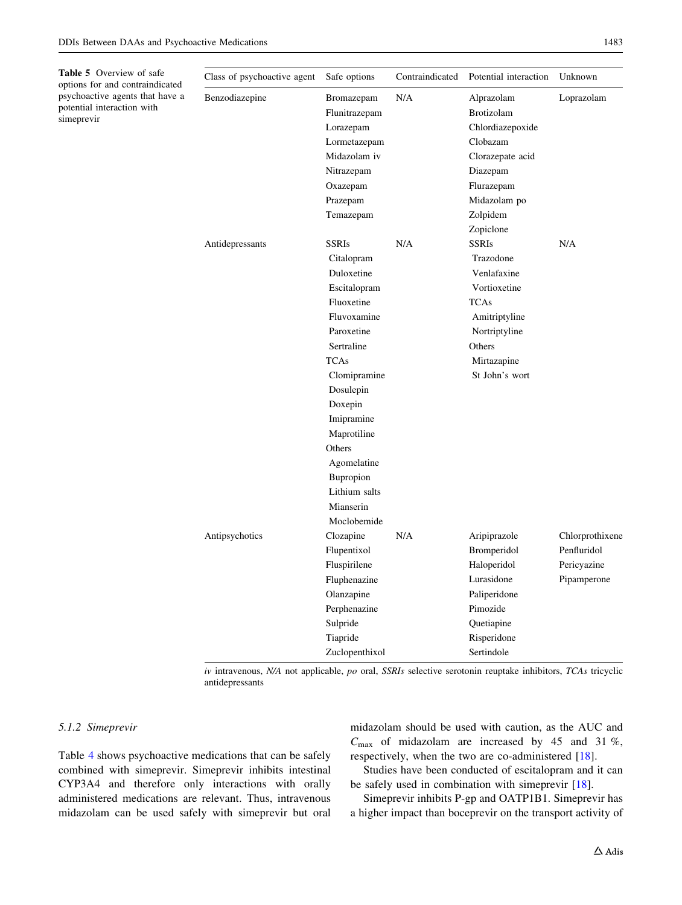<span id="page-12-0"></span>Table 5 Overvie

| <b>Table 5</b> Overview of safe<br>options for and contraindicated | Class of psychoactive agent | Safe options   | Contraindicated | Potential interaction | Unknown         |
|--------------------------------------------------------------------|-----------------------------|----------------|-----------------|-----------------------|-----------------|
| psychoactive agents that have a<br>potential interaction with      | Benzodiazepine              | Bromazepam     | N/A             | Alprazolam            | Loprazolam      |
| simeprevir                                                         |                             | Flunitrazepam  |                 | Brotizolam            |                 |
|                                                                    |                             | Lorazepam      |                 | Chlordiazepoxide      |                 |
|                                                                    |                             | Lormetazepam   |                 | Clobazam              |                 |
|                                                                    |                             | Midazolam iv   |                 | Clorazepate acid      |                 |
|                                                                    |                             | Nitrazepam     |                 | Diazepam              |                 |
|                                                                    |                             | Oxazepam       |                 | Flurazepam            |                 |
|                                                                    |                             | Prazepam       |                 | Midazolam po          |                 |
|                                                                    |                             | Temazepam      |                 | Zolpidem              |                 |
|                                                                    |                             |                |                 | Zopiclone             |                 |
|                                                                    | Antidepressants             | <b>SSRIs</b>   | N/A             | <b>SSRIs</b>          | N/A             |
|                                                                    |                             | Citalopram     |                 | Trazodone             |                 |
|                                                                    |                             | Duloxetine     |                 | Venlafaxine           |                 |
|                                                                    |                             | Escitalopram   |                 | Vortioxetine          |                 |
|                                                                    |                             | Fluoxetine     |                 | <b>TCAs</b>           |                 |
|                                                                    |                             | Fluvoxamine    |                 | Amitriptyline         |                 |
|                                                                    |                             | Paroxetine     |                 | Nortriptyline         |                 |
|                                                                    |                             | Sertraline     |                 | Others                |                 |
|                                                                    |                             | <b>TCAs</b>    |                 | Mirtazapine           |                 |
|                                                                    |                             | Clomipramine   |                 | St John's wort        |                 |
|                                                                    |                             | Dosulepin      |                 |                       |                 |
|                                                                    |                             | Doxepin        |                 |                       |                 |
|                                                                    |                             | Imipramine     |                 |                       |                 |
|                                                                    |                             | Maprotiline    |                 |                       |                 |
|                                                                    |                             | Others         |                 |                       |                 |
|                                                                    |                             | Agomelatine    |                 |                       |                 |
|                                                                    |                             | Bupropion      |                 |                       |                 |
|                                                                    |                             | Lithium salts  |                 |                       |                 |
|                                                                    |                             | Mianserin      |                 |                       |                 |
|                                                                    |                             | Moclobemide    |                 |                       |                 |
|                                                                    | Antipsychotics              | Clozapine      | N/A             | Aripiprazole          | Chlorprothixene |
|                                                                    |                             | Flupentixol    |                 | Bromperidol           | Penfluridol     |
|                                                                    |                             | Fluspirilene   |                 | Haloperidol           | Pericyazine     |
|                                                                    |                             | Fluphenazine   |                 | Lurasidone            | Pipamperone     |
|                                                                    |                             | Olanzapine     |                 | Paliperidone          |                 |
|                                                                    |                             | Perphenazine   |                 | Pimozide              |                 |
|                                                                    |                             | Sulpride       |                 | Quetiapine            |                 |
|                                                                    |                             | Tiapride       |                 | Risperidone           |                 |
|                                                                    |                             | Zuclopenthixol |                 | Sertindole            |                 |

 $iv$  intravenous, N/A not applicable,  $po$  oral, SSRIs selective serotonin reuptake inhibitors, TCAs tricyclic antidepressants

## 5.1.2 Simeprevir

Table [4](#page-11-0) shows psychoactive medications that can be safely combined with simeprevir. Simeprevir inhibits intestinal CYP3A4 and therefore only interactions with orally administered medications are relevant. Thus, intravenous midazolam can be used safely with simeprevir but oral midazolam should be used with caution, as the AUC and  $C_{\text{max}}$  of midazolam are increased by 45 and 31 %, respectively, when the two are co-administered [\[18](#page-22-0)].

Studies have been conducted of escitalopram and it can be safely used in combination with simeprevir [[18\]](#page-22-0).

Simeprevir inhibits P-gp and OATP1B1. Simeprevir has a higher impact than boceprevir on the transport activity of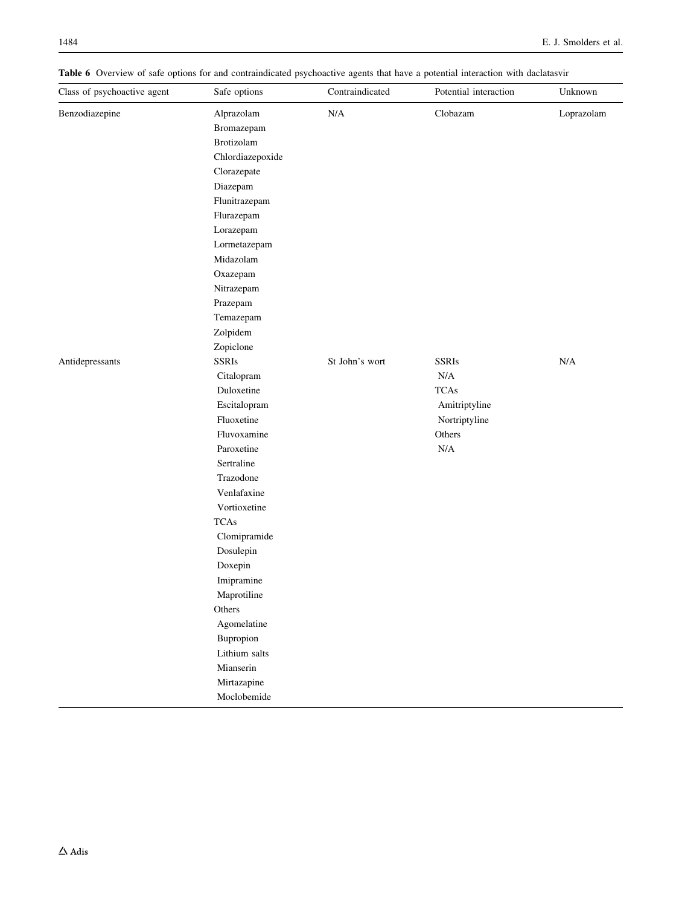<span id="page-13-0"></span>Table 6 Overview of safe options for and contraindicated psychoactive agents that have a potential interaction with daclatasvir

| Benzodiazepine<br>N/A<br>Clobazam<br>Loprazolam<br>Alprazolam<br>Bromazepam<br>Brotizolam<br>Chlordiazepoxide<br>Clorazepate<br>Diazepam<br>Flunitrazepam<br>Flurazepam<br>Lorazepam<br>Lormetazepam<br>Midazolam<br>Oxazepam<br>Nitrazepam<br>Prazepam<br>Temazepam<br>Zolpidem<br>Zopiclone<br><b>SSRIs</b><br>St John's wort<br><b>SSRIs</b><br>N/A<br>Antidepressants<br>$\rm N/A$<br>Citalopram<br><b>TCAs</b><br>Duloxetine<br>Escitalopram<br>Amitriptyline<br>Fluoxetine<br>Nortriptyline<br>Fluvoxamine<br>Others<br>$\rm N/A$<br>Paroxetine<br>Sertraline<br>Trazodone<br>Venlafaxine<br>Vortioxetine<br><b>TCAs</b><br>Clomipramide<br>Dosulepin<br>Doxepin<br>Imipramine<br>Maprotiline<br>Others<br>Agomelatine<br>Bupropion<br>Lithium salts<br>Mianserin<br>Mirtazapine | Class of psychoactive agent | Safe options | Contraindicated | Potential interaction | Unknown |
|----------------------------------------------------------------------------------------------------------------------------------------------------------------------------------------------------------------------------------------------------------------------------------------------------------------------------------------------------------------------------------------------------------------------------------------------------------------------------------------------------------------------------------------------------------------------------------------------------------------------------------------------------------------------------------------------------------------------------------------------------------------------------------------|-----------------------------|--------------|-----------------|-----------------------|---------|
|                                                                                                                                                                                                                                                                                                                                                                                                                                                                                                                                                                                                                                                                                                                                                                                        |                             |              |                 |                       |         |
|                                                                                                                                                                                                                                                                                                                                                                                                                                                                                                                                                                                                                                                                                                                                                                                        |                             |              |                 |                       |         |
|                                                                                                                                                                                                                                                                                                                                                                                                                                                                                                                                                                                                                                                                                                                                                                                        |                             |              |                 |                       |         |
|                                                                                                                                                                                                                                                                                                                                                                                                                                                                                                                                                                                                                                                                                                                                                                                        |                             |              |                 |                       |         |
|                                                                                                                                                                                                                                                                                                                                                                                                                                                                                                                                                                                                                                                                                                                                                                                        |                             |              |                 |                       |         |
|                                                                                                                                                                                                                                                                                                                                                                                                                                                                                                                                                                                                                                                                                                                                                                                        |                             |              |                 |                       |         |
|                                                                                                                                                                                                                                                                                                                                                                                                                                                                                                                                                                                                                                                                                                                                                                                        |                             |              |                 |                       |         |
|                                                                                                                                                                                                                                                                                                                                                                                                                                                                                                                                                                                                                                                                                                                                                                                        |                             |              |                 |                       |         |
|                                                                                                                                                                                                                                                                                                                                                                                                                                                                                                                                                                                                                                                                                                                                                                                        |                             |              |                 |                       |         |
|                                                                                                                                                                                                                                                                                                                                                                                                                                                                                                                                                                                                                                                                                                                                                                                        |                             |              |                 |                       |         |
|                                                                                                                                                                                                                                                                                                                                                                                                                                                                                                                                                                                                                                                                                                                                                                                        |                             |              |                 |                       |         |
|                                                                                                                                                                                                                                                                                                                                                                                                                                                                                                                                                                                                                                                                                                                                                                                        |                             |              |                 |                       |         |
|                                                                                                                                                                                                                                                                                                                                                                                                                                                                                                                                                                                                                                                                                                                                                                                        |                             |              |                 |                       |         |
|                                                                                                                                                                                                                                                                                                                                                                                                                                                                                                                                                                                                                                                                                                                                                                                        |                             |              |                 |                       |         |
|                                                                                                                                                                                                                                                                                                                                                                                                                                                                                                                                                                                                                                                                                                                                                                                        |                             |              |                 |                       |         |
|                                                                                                                                                                                                                                                                                                                                                                                                                                                                                                                                                                                                                                                                                                                                                                                        |                             |              |                 |                       |         |
|                                                                                                                                                                                                                                                                                                                                                                                                                                                                                                                                                                                                                                                                                                                                                                                        |                             |              |                 |                       |         |
|                                                                                                                                                                                                                                                                                                                                                                                                                                                                                                                                                                                                                                                                                                                                                                                        |                             |              |                 |                       |         |
|                                                                                                                                                                                                                                                                                                                                                                                                                                                                                                                                                                                                                                                                                                                                                                                        |                             |              |                 |                       |         |
|                                                                                                                                                                                                                                                                                                                                                                                                                                                                                                                                                                                                                                                                                                                                                                                        |                             |              |                 |                       |         |
|                                                                                                                                                                                                                                                                                                                                                                                                                                                                                                                                                                                                                                                                                                                                                                                        |                             |              |                 |                       |         |
|                                                                                                                                                                                                                                                                                                                                                                                                                                                                                                                                                                                                                                                                                                                                                                                        |                             |              |                 |                       |         |
|                                                                                                                                                                                                                                                                                                                                                                                                                                                                                                                                                                                                                                                                                                                                                                                        |                             |              |                 |                       |         |
|                                                                                                                                                                                                                                                                                                                                                                                                                                                                                                                                                                                                                                                                                                                                                                                        |                             |              |                 |                       |         |
|                                                                                                                                                                                                                                                                                                                                                                                                                                                                                                                                                                                                                                                                                                                                                                                        |                             |              |                 |                       |         |
|                                                                                                                                                                                                                                                                                                                                                                                                                                                                                                                                                                                                                                                                                                                                                                                        |                             |              |                 |                       |         |
|                                                                                                                                                                                                                                                                                                                                                                                                                                                                                                                                                                                                                                                                                                                                                                                        |                             |              |                 |                       |         |
|                                                                                                                                                                                                                                                                                                                                                                                                                                                                                                                                                                                                                                                                                                                                                                                        |                             |              |                 |                       |         |
|                                                                                                                                                                                                                                                                                                                                                                                                                                                                                                                                                                                                                                                                                                                                                                                        |                             |              |                 |                       |         |
|                                                                                                                                                                                                                                                                                                                                                                                                                                                                                                                                                                                                                                                                                                                                                                                        |                             |              |                 |                       |         |
|                                                                                                                                                                                                                                                                                                                                                                                                                                                                                                                                                                                                                                                                                                                                                                                        |                             |              |                 |                       |         |
|                                                                                                                                                                                                                                                                                                                                                                                                                                                                                                                                                                                                                                                                                                                                                                                        |                             |              |                 |                       |         |
|                                                                                                                                                                                                                                                                                                                                                                                                                                                                                                                                                                                                                                                                                                                                                                                        |                             |              |                 |                       |         |
|                                                                                                                                                                                                                                                                                                                                                                                                                                                                                                                                                                                                                                                                                                                                                                                        |                             |              |                 |                       |         |
|                                                                                                                                                                                                                                                                                                                                                                                                                                                                                                                                                                                                                                                                                                                                                                                        |                             |              |                 |                       |         |
|                                                                                                                                                                                                                                                                                                                                                                                                                                                                                                                                                                                                                                                                                                                                                                                        |                             |              |                 |                       |         |
|                                                                                                                                                                                                                                                                                                                                                                                                                                                                                                                                                                                                                                                                                                                                                                                        |                             |              |                 |                       |         |
|                                                                                                                                                                                                                                                                                                                                                                                                                                                                                                                                                                                                                                                                                                                                                                                        |                             |              |                 |                       |         |
|                                                                                                                                                                                                                                                                                                                                                                                                                                                                                                                                                                                                                                                                                                                                                                                        |                             |              |                 |                       |         |
|                                                                                                                                                                                                                                                                                                                                                                                                                                                                                                                                                                                                                                                                                                                                                                                        |                             |              |                 |                       |         |
|                                                                                                                                                                                                                                                                                                                                                                                                                                                                                                                                                                                                                                                                                                                                                                                        |                             | Moclobemide  |                 |                       |         |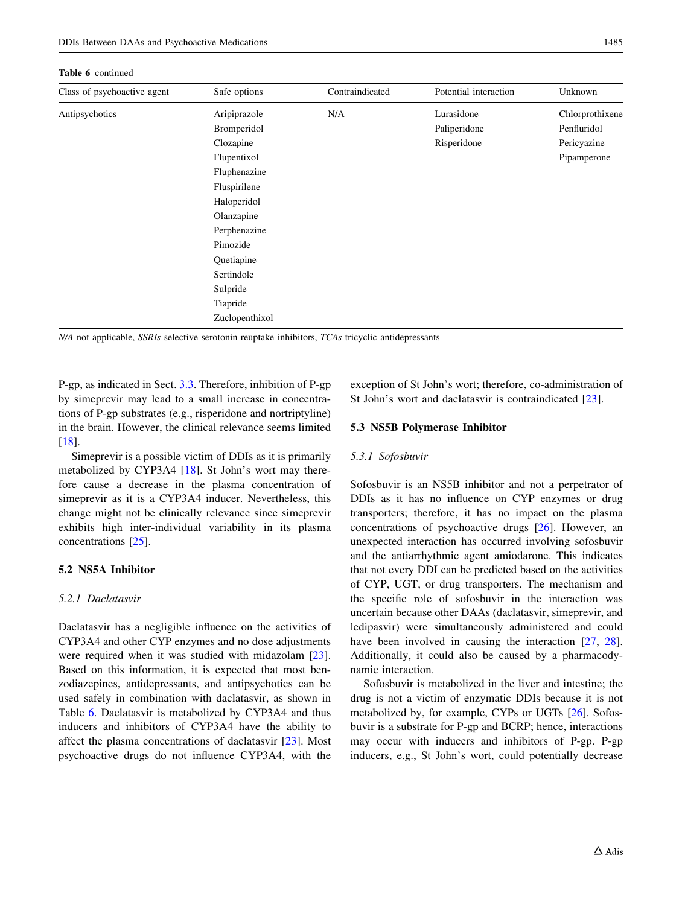#### <span id="page-14-0"></span>Table 6 continued

| Class of psychoactive agent | Safe options   | Contraindicated | Potential interaction | Unknown         |
|-----------------------------|----------------|-----------------|-----------------------|-----------------|
| Antipsychotics              | Aripiprazole   | N/A             | Lurasidone            | Chlorprothixene |
|                             | Bromperidol    |                 | Paliperidone          | Penfluridol     |
|                             | Clozapine      |                 | Risperidone           | Pericyazine     |
|                             | Flupentixol    |                 |                       | Pipamperone     |
|                             | Fluphenazine   |                 |                       |                 |
|                             | Fluspirilene   |                 |                       |                 |
|                             | Haloperidol    |                 |                       |                 |
|                             | Olanzapine     |                 |                       |                 |
|                             | Perphenazine   |                 |                       |                 |
|                             | Pimozide       |                 |                       |                 |
|                             | Quetiapine     |                 |                       |                 |
|                             | Sertindole     |                 |                       |                 |
|                             | Sulpride       |                 |                       |                 |
|                             | Tiapride       |                 |                       |                 |
|                             | Zuclopenthixol |                 |                       |                 |

N/A not applicable, SSRIs selective serotonin reuptake inhibitors, TCAs tricyclic antidepressants

P-gp, as indicated in Sect. [3.3](#page-2-0). Therefore, inhibition of P-gp by simeprevir may lead to a small increase in concentrations of P-gp substrates (e.g., risperidone and nortriptyline) in the brain. However, the clinical relevance seems limited [\[18](#page-22-0)].

Simeprevir is a possible victim of DDIs as it is primarily metabolized by CYP3A4 [\[18](#page-22-0)]. St John's wort may therefore cause a decrease in the plasma concentration of simeprevir as it is a CYP3A4 inducer. Nevertheless, this change might not be clinically relevance since simeprevir exhibits high inter-individual variability in its plasma concentrations [\[25](#page-22-0)].

## 5.2 NS5A Inhibitor

# 5.2.1 Daclatasvir

Daclatasvir has a negligible influence on the activities of CYP3A4 and other CYP enzymes and no dose adjustments were required when it was studied with midazolam [\[23](#page-22-0)]. Based on this information, it is expected that most benzodiazepines, antidepressants, and antipsychotics can be used safely in combination with daclatasvir, as shown in Table [6](#page-13-0). Daclatasvir is metabolized by CYP3A4 and thus inducers and inhibitors of CYP3A4 have the ability to affect the plasma concentrations of daclatasvir [\[23](#page-22-0)]. Most psychoactive drugs do not influence CYP3A4, with the exception of St John's wort; therefore, co-administration of St John's wort and daclatasvir is contraindicated [[23\]](#page-22-0).

#### 5.3 NS5B Polymerase Inhibitor

#### 5.3.1 Sofosbuvir

Sofosbuvir is an NS5B inhibitor and not a perpetrator of DDIs as it has no influence on CYP enzymes or drug transporters; therefore, it has no impact on the plasma concentrations of psychoactive drugs [\[26](#page-22-0)]. However, an unexpected interaction has occurred involving sofosbuvir and the antiarrhythmic agent amiodarone. This indicates that not every DDI can be predicted based on the activities of CYP, UGT, or drug transporters. The mechanism and the specific role of sofosbuvir in the interaction was uncertain because other DAAs (daclatasvir, simeprevir, and ledipasvir) were simultaneously administered and could have been involved in causing the interaction [[27,](#page-22-0) [28](#page-22-0)]. Additionally, it could also be caused by a pharmacodynamic interaction.

Sofosbuvir is metabolized in the liver and intestine; the drug is not a victim of enzymatic DDIs because it is not metabolized by, for example, CYPs or UGTs [[26\]](#page-22-0). Sofosbuvir is a substrate for P-gp and BCRP; hence, interactions may occur with inducers and inhibitors of P-gp. P-gp inducers, e.g., St John's wort, could potentially decrease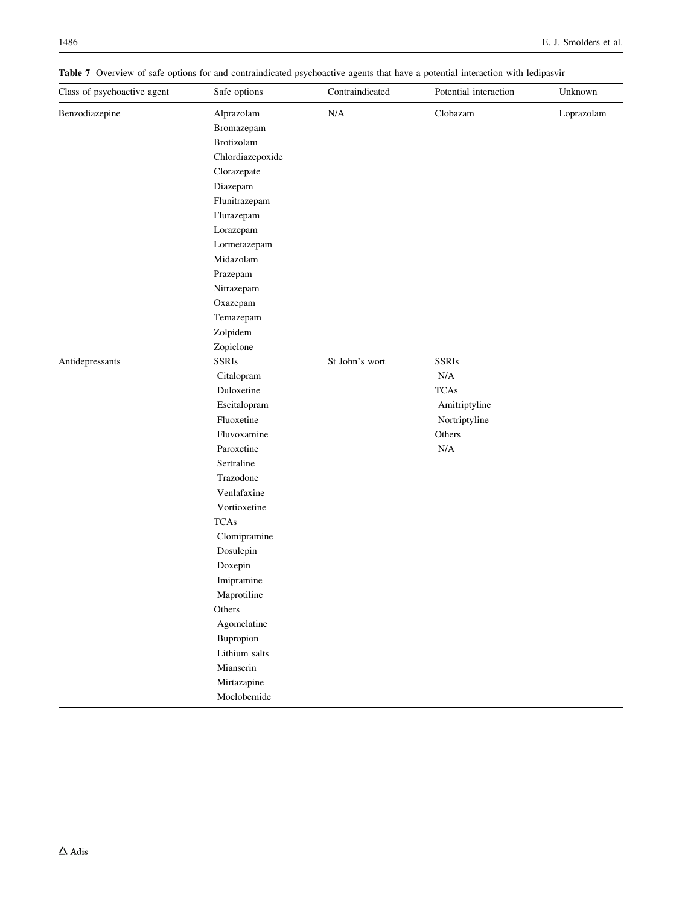<span id="page-15-0"></span>Table 7 Overview of safe options for and contraindicated psychoactive agents that have a potential interaction with ledipasvir

| Class of psychoactive agent | Safe options     | Contraindicated | Potential interaction | Unknown    |
|-----------------------------|------------------|-----------------|-----------------------|------------|
| Benzodiazepine              | Alprazolam       | N/A             | Clobazam              | Loprazolam |
|                             | Bromazepam       |                 |                       |            |
|                             | Brotizolam       |                 |                       |            |
|                             | Chlordiazepoxide |                 |                       |            |
|                             | Clorazepate      |                 |                       |            |
|                             | Diazepam         |                 |                       |            |
|                             | Flunitrazepam    |                 |                       |            |
|                             | Flurazepam       |                 |                       |            |
|                             | Lorazepam        |                 |                       |            |
|                             | Lormetazepam     |                 |                       |            |
|                             | Midazolam        |                 |                       |            |
|                             | Prazepam         |                 |                       |            |
|                             | Nitrazepam       |                 |                       |            |
|                             | Oxazepam         |                 |                       |            |
|                             | Temazepam        |                 |                       |            |
|                             | Zolpidem         |                 |                       |            |
|                             | Zopiclone        |                 |                       |            |
| Antidepressants             | <b>SSRIs</b>     | St John's wort  | <b>SSRIs</b>          |            |
|                             | Citalopram       |                 | $\rm N/A$             |            |
|                             | Duloxetine       |                 | <b>TCAs</b>           |            |
|                             | Escitalopram     |                 | Amitriptyline         |            |
|                             | Fluoxetine       |                 | Nortriptyline         |            |
|                             | Fluvoxamine      |                 | Others                |            |
|                             | Paroxetine       |                 | $\rm N/A$             |            |
|                             | Sertraline       |                 |                       |            |
|                             | Trazodone        |                 |                       |            |
|                             | Venlafaxine      |                 |                       |            |
|                             | Vortioxetine     |                 |                       |            |
|                             | <b>TCAs</b>      |                 |                       |            |
|                             | Clomipramine     |                 |                       |            |
|                             | Dosulepin        |                 |                       |            |
|                             | Doxepin          |                 |                       |            |
|                             | Imipramine       |                 |                       |            |
|                             | Maprotiline      |                 |                       |            |
|                             | Others           |                 |                       |            |
|                             | Agomelatine      |                 |                       |            |
|                             | Bupropion        |                 |                       |            |
|                             | Lithium salts    |                 |                       |            |
|                             | Mianserin        |                 |                       |            |
|                             | Mirtazapine      |                 |                       |            |
|                             | Moclobemide      |                 |                       |            |
|                             |                  |                 |                       |            |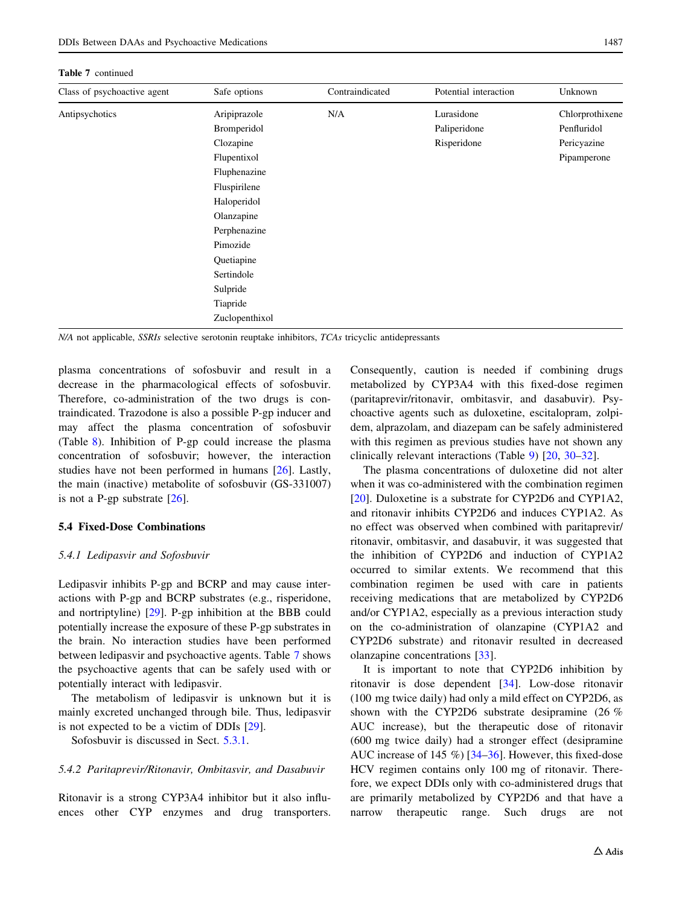<span id="page-16-0"></span>Table 7 continued

| Class of psychoactive agent | Safe options   | Contraindicated | Potential interaction | Unknown         |
|-----------------------------|----------------|-----------------|-----------------------|-----------------|
| Antipsychotics              | Aripiprazole   | N/A             | Lurasidone            | Chlorprothixene |
|                             | Bromperidol    |                 | Paliperidone          | Penfluridol     |
|                             | Clozapine      |                 | Risperidone           | Pericyazine     |
|                             | Flupentixol    |                 |                       | Pipamperone     |
|                             | Fluphenazine   |                 |                       |                 |
|                             | Fluspirilene   |                 |                       |                 |
|                             | Haloperidol    |                 |                       |                 |
|                             | Olanzapine     |                 |                       |                 |
|                             | Perphenazine   |                 |                       |                 |
|                             | Pimozide       |                 |                       |                 |
|                             | Quetiapine     |                 |                       |                 |
|                             | Sertindole     |                 |                       |                 |
|                             | Sulpride       |                 |                       |                 |
|                             | Tiapride       |                 |                       |                 |
|                             | Zuclopenthixol |                 |                       |                 |

N/A not applicable, SSRIs selective serotonin reuptake inhibitors, TCAs tricyclic antidepressants

plasma concentrations of sofosbuvir and result in a decrease in the pharmacological effects of sofosbuvir. Therefore, co-administration of the two drugs is contraindicated. Trazodone is also a possible P-gp inducer and may affect the plasma concentration of sofosbuvir (Table [8](#page-17-0)). Inhibition of P-gp could increase the plasma concentration of sofosbuvir; however, the interaction studies have not been performed in humans [[26\]](#page-22-0). Lastly, the main (inactive) metabolite of sofosbuvir (GS-331007) is not a P-gp substrate [\[26](#page-22-0)].

#### 5.4 Fixed-Dose Combinations

#### 5.4.1 Ledipasvir and Sofosbuvir

Ledipasvir inhibits P-gp and BCRP and may cause interactions with P-gp and BCRP substrates (e.g., risperidone, and nortriptyline) [\[29](#page-22-0)]. P-gp inhibition at the BBB could potentially increase the exposure of these P-gp substrates in the brain. No interaction studies have been performed between ledipasvir and psychoactive agents. Table [7](#page-15-0) shows the psychoactive agents that can be safely used with or potentially interact with ledipasvir.

The metabolism of ledipasvir is unknown but it is mainly excreted unchanged through bile. Thus, ledipasvir is not expected to be a victim of DDIs [[29\]](#page-22-0).

Sofosbuvir is discussed in Sect. [5.3.1](#page-14-0).

#### 5.4.2 Paritaprevir/Ritonavir, Ombitasvir, and Dasabuvir

Ritonavir is a strong CYP3A4 inhibitor but it also influences other CYP enzymes and drug transporters.

Consequently, caution is needed if combining drugs metabolized by CYP3A4 with this fixed-dose regimen (paritaprevir/ritonavir, ombitasvir, and dasabuvir). Psychoactive agents such as duloxetine, escitalopram, zolpidem, alprazolam, and diazepam can be safely administered with this regimen as previous studies have not shown any clinically relevant interactions (Table [9](#page-19-0)) [\[20](#page-22-0), [30–32\]](#page-22-0).

The plasma concentrations of duloxetine did not alter when it was co-administered with the combination regimen [\[20](#page-22-0)]. Duloxetine is a substrate for CYP2D6 and CYP1A2, and ritonavir inhibits CYP2D6 and induces CYP1A2. As no effect was observed when combined with paritaprevir/ ritonavir, ombitasvir, and dasabuvir, it was suggested that the inhibition of CYP2D6 and induction of CYP1A2 occurred to similar extents. We recommend that this combination regimen be used with care in patients receiving medications that are metabolized by CYP2D6 and/or CYP1A2, especially as a previous interaction study on the co-administration of olanzapine (CYP1A2 and CYP2D6 substrate) and ritonavir resulted in decreased olanzapine concentrations [\[33\]](#page-22-0).

It is important to note that CYP2D6 inhibition by ritonavir is dose dependent [\[34](#page-22-0)]. Low-dose ritonavir (100 mg twice daily) had only a mild effect on CYP2D6, as shown with the CYP2D6 substrate desipramine (26 % AUC increase), but the therapeutic dose of ritonavir (600 mg twice daily) had a stronger effect (desipramine AUC increase of 145 %) [\[34–36](#page-22-0)]. However, this fixed-dose HCV regimen contains only 100 mg of ritonavir. Therefore, we expect DDIs only with co-administered drugs that are primarily metabolized by CYP2D6 and that have a narrow therapeutic range. Such drugs are not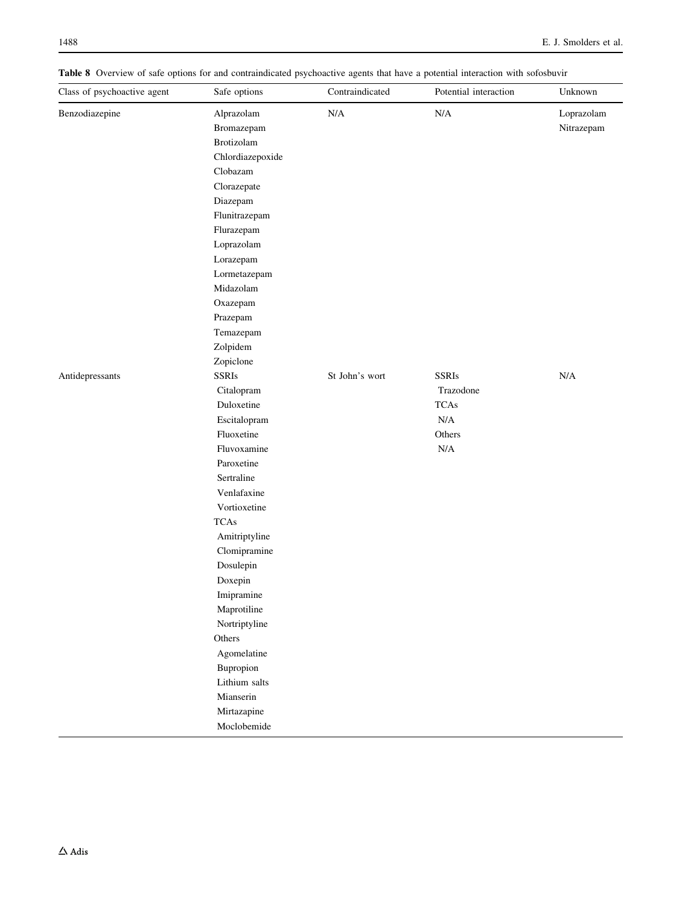<span id="page-17-0"></span>Table 8 Overview of safe options for and contraindicated psychoactive agents that have a potential interaction with sofosbuvir

| Class of psychoactive agent | Safe options     | Contraindicated | Potential interaction | Unknown    |
|-----------------------------|------------------|-----------------|-----------------------|------------|
| Benzodiazepine              | Alprazolam       | N/A             | $\rm N/A$             | Loprazolam |
|                             | Bromazepam       |                 |                       | Nitrazepam |
|                             | Brotizolam       |                 |                       |            |
|                             | Chlordiazepoxide |                 |                       |            |
|                             | Clobazam         |                 |                       |            |
|                             | Clorazepate      |                 |                       |            |
|                             | Diazepam         |                 |                       |            |
|                             | Flunitrazepam    |                 |                       |            |
|                             | Flurazepam       |                 |                       |            |
|                             | Loprazolam       |                 |                       |            |
|                             | Lorazepam        |                 |                       |            |
|                             | Lormetazepam     |                 |                       |            |
|                             | Midazolam        |                 |                       |            |
|                             | Oxazepam         |                 |                       |            |
|                             | Prazepam         |                 |                       |            |
|                             | Temazepam        |                 |                       |            |
|                             | Zolpidem         |                 |                       |            |
|                             | Zopiclone        |                 |                       |            |
| Antidepressants             | <b>SSRIs</b>     | St John's wort  | <b>SSRIs</b>          | $\rm N/A$  |
|                             | Citalopram       |                 | Trazodone             |            |
|                             | Duloxetine       |                 | <b>TCAs</b>           |            |
|                             | Escitalopram     |                 | N/A                   |            |
|                             | Fluoxetine       |                 | Others                |            |
|                             | Fluvoxamine      |                 | $\rm N/A$             |            |
|                             | Paroxetine       |                 |                       |            |
|                             | Sertraline       |                 |                       |            |
|                             | Venlafaxine      |                 |                       |            |
|                             | Vortioxetine     |                 |                       |            |
|                             | <b>TCAs</b>      |                 |                       |            |
|                             | Amitriptyline    |                 |                       |            |
|                             | Clomipramine     |                 |                       |            |
|                             | Dosulepin        |                 |                       |            |
|                             | Doxepin          |                 |                       |            |
|                             | Imipramine       |                 |                       |            |
|                             | Maprotiline      |                 |                       |            |
|                             | Nortriptyline    |                 |                       |            |
|                             | Others           |                 |                       |            |
|                             | Agomelatine      |                 |                       |            |
|                             | Bupropion        |                 |                       |            |
|                             | Lithium salts    |                 |                       |            |
|                             | Mianserin        |                 |                       |            |
|                             | Mirtazapine      |                 |                       |            |
|                             | Moclobemide      |                 |                       |            |
|                             |                  |                 |                       |            |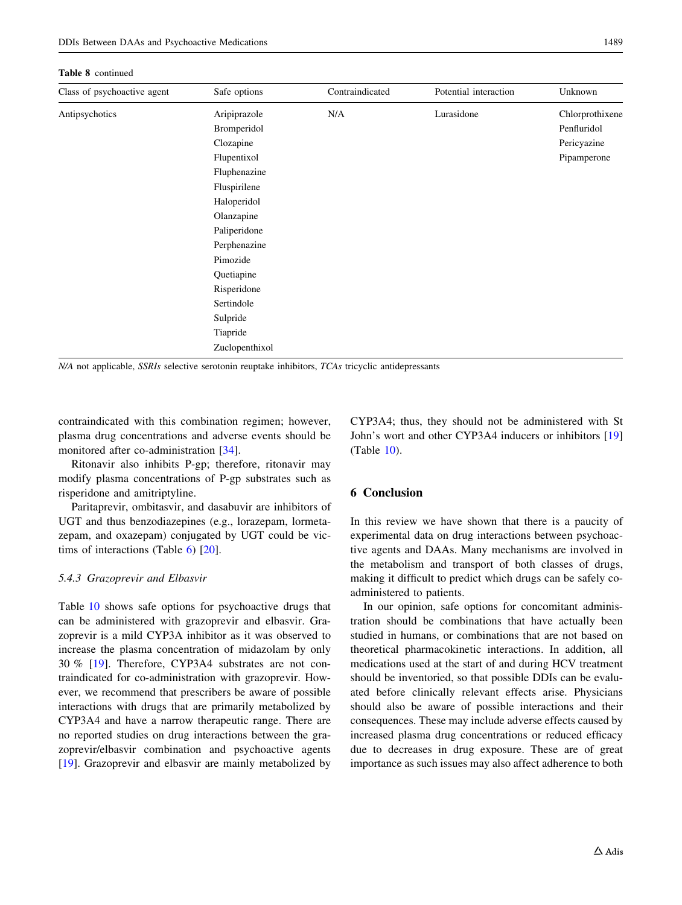#### Table 8 continued

| Class of psychoactive agent | Safe options   | Contraindicated | Potential interaction | Unknown         |
|-----------------------------|----------------|-----------------|-----------------------|-----------------|
| Antipsychotics              | Aripiprazole   | N/A             | Lurasidone            | Chlorprothixene |
|                             | Bromperidol    |                 |                       | Penfluridol     |
|                             | Clozapine      |                 |                       | Pericyazine     |
|                             | Flupentixol    |                 |                       | Pipamperone     |
|                             | Fluphenazine   |                 |                       |                 |
|                             | Fluspirilene   |                 |                       |                 |
|                             | Haloperidol    |                 |                       |                 |
|                             | Olanzapine     |                 |                       |                 |
|                             | Paliperidone   |                 |                       |                 |
|                             | Perphenazine   |                 |                       |                 |
|                             | Pimozide       |                 |                       |                 |
|                             | Quetiapine     |                 |                       |                 |
|                             | Risperidone    |                 |                       |                 |
|                             | Sertindole     |                 |                       |                 |
|                             | Sulpride       |                 |                       |                 |
|                             | Tiapride       |                 |                       |                 |
|                             | Zuclopenthixol |                 |                       |                 |

N/A not applicable, SSRIs selective serotonin reuptake inhibitors, TCAs tricyclic antidepressants

contraindicated with this combination regimen; however, plasma drug concentrations and adverse events should be monitored after co-administration [[34\]](#page-22-0).

Ritonavir also inhibits P-gp; therefore, ritonavir may modify plasma concentrations of P-gp substrates such as risperidone and amitriptyline.

Paritaprevir, ombitasvir, and dasabuvir are inhibitors of UGT and thus benzodiazepines (e.g., lorazepam, lormetazepam, and oxazepam) conjugated by UGT could be victims of interactions (Table  $6$ ) [[20\]](#page-22-0).

#### 5.4.3 Grazoprevir and Elbasvir

Table [10](#page-20-0) shows safe options for psychoactive drugs that can be administered with grazoprevir and elbasvir. Grazoprevir is a mild CYP3A inhibitor as it was observed to increase the plasma concentration of midazolam by only 30 % [\[19](#page-22-0)]. Therefore, CYP3A4 substrates are not contraindicated for co-administration with grazoprevir. However, we recommend that prescribers be aware of possible interactions with drugs that are primarily metabolized by CYP3A4 and have a narrow therapeutic range. There are no reported studies on drug interactions between the grazoprevir/elbasvir combination and psychoactive agents [\[19](#page-22-0)]. Grazoprevir and elbasvir are mainly metabolized by

CYP3A4; thus, they should not be administered with St John's wort and other CYP3A4 inducers or inhibitors [[19\]](#page-22-0) (Table [10\)](#page-20-0).

# 6 Conclusion

In this review we have shown that there is a paucity of experimental data on drug interactions between psychoactive agents and DAAs. Many mechanisms are involved in the metabolism and transport of both classes of drugs, making it difficult to predict which drugs can be safely coadministered to patients.

In our opinion, safe options for concomitant administration should be combinations that have actually been studied in humans, or combinations that are not based on theoretical pharmacokinetic interactions. In addition, all medications used at the start of and during HCV treatment should be inventoried, so that possible DDIs can be evaluated before clinically relevant effects arise. Physicians should also be aware of possible interactions and their consequences. These may include adverse effects caused by increased plasma drug concentrations or reduced efficacy due to decreases in drug exposure. These are of great importance as such issues may also affect adherence to both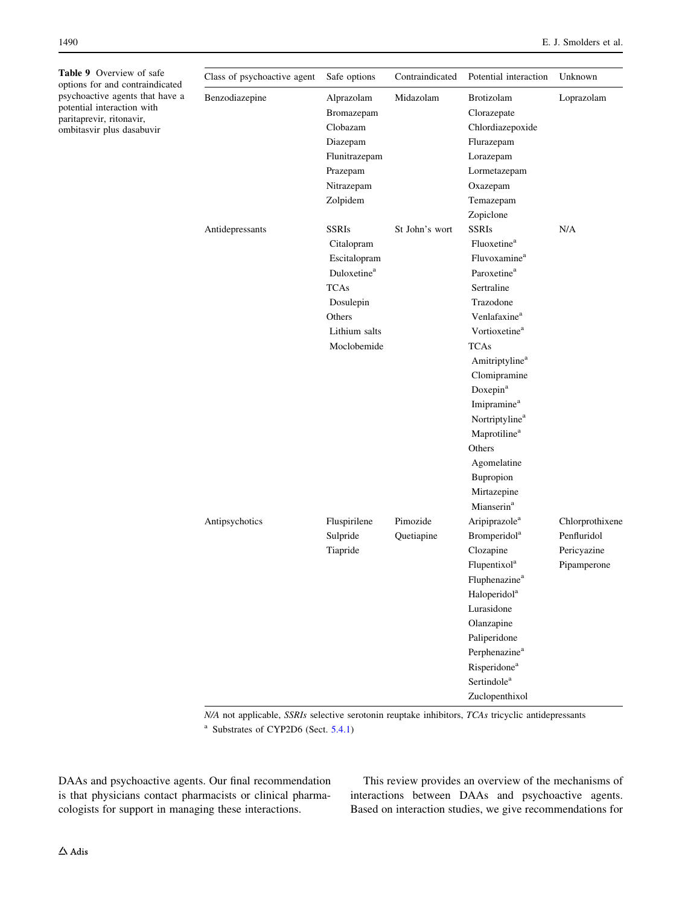<span id="page-19-0"></span>Table 9 Overview of safe options for and contraindicated psychoactive agents that have a potential interaction with paritaprevir, ritonavir, ombitasvir plus dasabuvir

| Class of psychoactive agent | Safe options                   | Contraindicated | Potential interaction      | Unknown         |
|-----------------------------|--------------------------------|-----------------|----------------------------|-----------------|
| Benzodiazepine              | Alprazolam<br>Bromazepam       | Midazolam       | Brotizolam<br>Clorazepate  | Loprazolam      |
|                             | Clobazam                       |                 | Chlordiazepoxide           |                 |
|                             | Diazepam                       |                 | Flurazepam                 |                 |
|                             | Flunitrazepam                  |                 | Lorazepam                  |                 |
|                             | Prazepam                       |                 | Lormetazepam               |                 |
|                             | Nitrazepam                     |                 | Oxazepam                   |                 |
|                             | Zolpidem                       |                 | Temazepam                  |                 |
|                             |                                |                 | Zopiclone                  |                 |
| Antidepressants             | SSRIs                          | St John's wort  | <b>SSRIs</b>               | N/A             |
|                             | Citalopram                     |                 | Fluoxetine <sup>a</sup>    |                 |
|                             | Escitalopram                   |                 | Fluvoxamine <sup>a</sup>   |                 |
|                             | <b>Duloxetine</b> <sup>a</sup> |                 | Paroxetine <sup>a</sup>    |                 |
|                             | TCAs                           |                 | Sertraline                 |                 |
|                             | Dosulepin                      |                 | Trazodone                  |                 |
|                             | Others                         |                 | Venlafaxine <sup>a</sup>   |                 |
|                             | Lithium salts                  |                 | Vortioxetine <sup>a</sup>  |                 |
|                             | Moclobemide                    |                 | <b>TCAs</b>                |                 |
|                             |                                |                 | Amitriptyline <sup>a</sup> |                 |
|                             |                                |                 | Clomipramine               |                 |
|                             |                                |                 | Doxepin <sup>a</sup>       |                 |
|                             |                                |                 | Imipramine <sup>a</sup>    |                 |
|                             |                                |                 | Nortriptyline <sup>a</sup> |                 |
|                             |                                |                 | Maprotiline <sup>a</sup>   |                 |
|                             |                                |                 | Others                     |                 |
|                             |                                |                 | Agomelatine                |                 |
|                             |                                |                 | Bupropion                  |                 |
|                             |                                |                 | Mirtazepine                |                 |
|                             |                                |                 | Mianserin <sup>a</sup>     |                 |
| Antipsychotics              | Fluspirilene                   | Pimozide        | Aripiprazole <sup>a</sup>  | Chlorprothixene |
|                             | Sulpride                       | Quetiapine      | Bromperidol <sup>a</sup>   | Penfluridol     |
|                             | Tiapride                       |                 | Clozapine                  | Pericyazine     |
|                             |                                |                 | Flupentixol <sup>a</sup>   | Pipamperone     |
|                             |                                |                 | Fluphenazine <sup>a</sup>  |                 |
|                             |                                |                 | Haloperidol <sup>a</sup>   |                 |
|                             |                                |                 | Lurasidone                 |                 |
|                             |                                |                 | Olanzapine                 |                 |
|                             |                                |                 | Paliperidone               |                 |
|                             |                                |                 | Perphenazine <sup>a</sup>  |                 |
|                             |                                |                 | Risperidone <sup>a</sup>   |                 |
|                             |                                |                 | Sertindole <sup>a</sup>    |                 |
|                             |                                |                 | Zuclopenthixol             |                 |

N/A not applicable, SSRIs selective serotonin reuptake inhibitors, TCAs tricyclic antidepressants

<sup>a</sup> Substrates of CYP2D6 (Sect.  $5.4.1$ )

DAAs and psychoactive agents. Our final recommendation is that physicians contact pharmacists or clinical pharmacologists for support in managing these interactions.

This review provides an overview of the mechanisms of interactions between DAAs and psychoactive agents. Based on interaction studies, we give recommendations for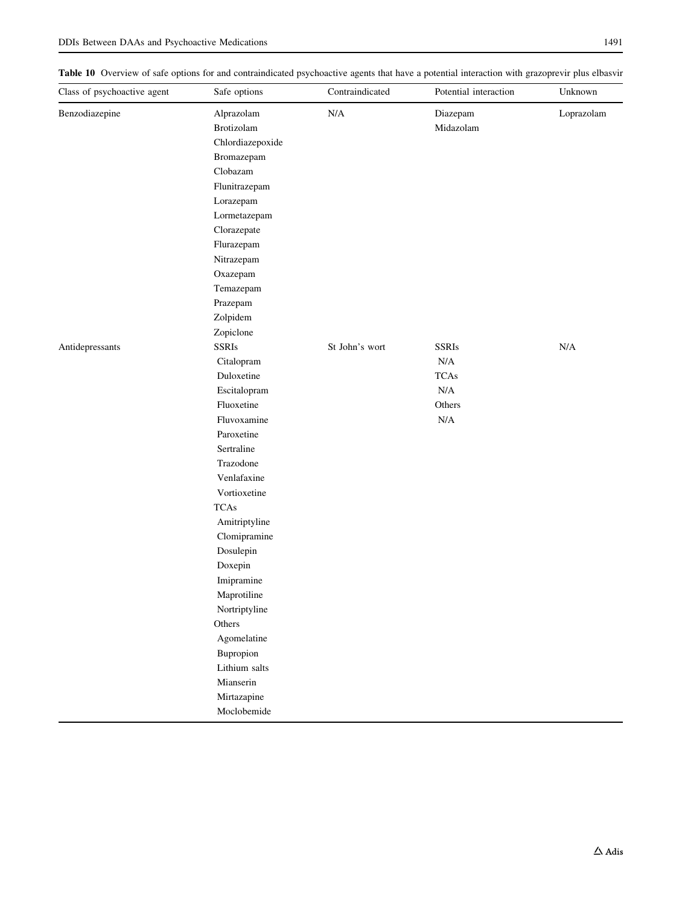<span id="page-20-0"></span>Table 10 Overview of safe options for and contraindicated psychoactive agents that have a potential interaction with grazoprevir plus elbasvir

| Loprazolam |
|------------|
|            |
|            |
|            |
|            |
|            |
|            |
|            |
|            |
|            |
|            |
|            |
|            |
|            |
|            |
|            |
|            |
| $\rm N/A$  |
|            |
|            |
|            |
|            |
|            |
|            |
|            |
|            |
|            |
|            |
|            |
|            |
|            |
|            |
|            |
|            |
|            |
|            |
|            |
|            |
|            |
|            |
|            |
|            |
|            |
|            |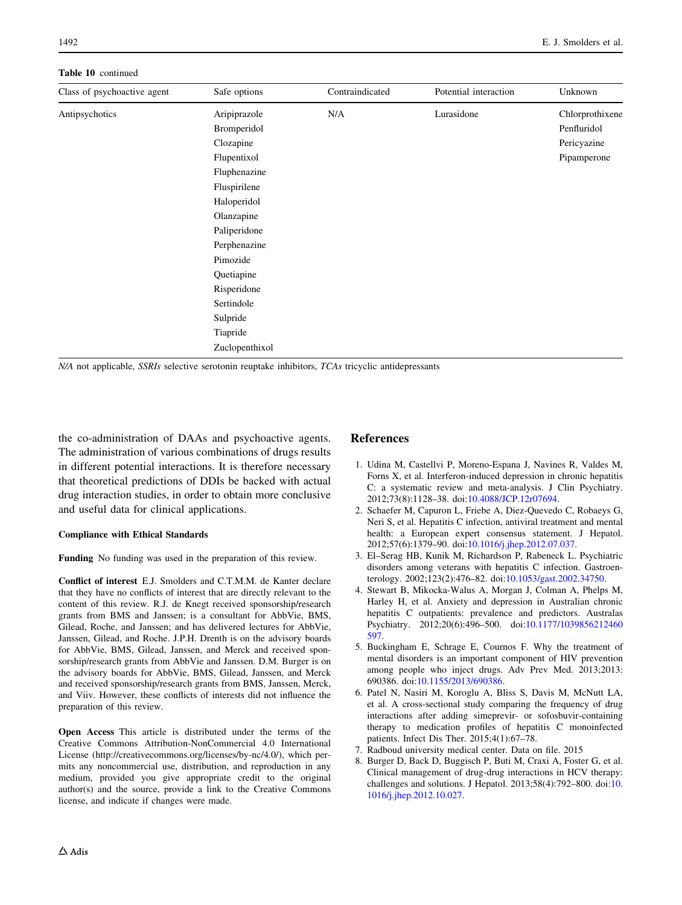#### <span id="page-21-0"></span>Table 10 continued

| Class of psychoactive agent | Safe options   | Contraindicated | Potential interaction | Unknown         |
|-----------------------------|----------------|-----------------|-----------------------|-----------------|
| Antipsychotics              | Aripiprazole   | N/A             | Lurasidone            | Chlorprothixene |
|                             | Bromperidol    |                 |                       | Penfluridol     |
|                             | Clozapine      |                 |                       | Pericyazine     |
|                             | Flupentixol    |                 |                       | Pipamperone     |
|                             | Fluphenazine   |                 |                       |                 |
|                             | Fluspirilene   |                 |                       |                 |
|                             | Haloperidol    |                 |                       |                 |
|                             | Olanzapine     |                 |                       |                 |
|                             | Paliperidone   |                 |                       |                 |
|                             | Perphenazine   |                 |                       |                 |
|                             | Pimozide       |                 |                       |                 |
|                             | Quetiapine     |                 |                       |                 |
|                             | Risperidone    |                 |                       |                 |
|                             | Sertindole     |                 |                       |                 |
|                             | Sulpride       |                 |                       |                 |
|                             | Tiapride       |                 |                       |                 |
|                             | Zuclopenthixol |                 |                       |                 |

N/A not applicable, SSRIs selective serotonin reuptake inhibitors, TCAs tricyclic antidepressants

the co-administration of DAAs and psychoactive agents. The administration of various combinations of drugs results in different potential interactions. It is therefore necessary that theoretical predictions of DDIs be backed with actual drug interaction studies, in order to obtain more conclusive and useful data for clinical applications.

#### Compliance with Ethical Standards

Funding No funding was used in the preparation of this review.

Conflict of interest E.J. Smolders and C.T.M.M. de Kanter declare that they have no conflicts of interest that are directly relevant to the content of this review. R.J. de Knegt received sponsorship/research grants from BMS and Janssen; is a consultant for AbbVie, BMS, Gilead, Roche, and Janssen; and has delivered lectures for AbbVie, Janssen, Gilead, and Roche. J.P.H. Drenth is on the advisory boards for AbbVie, BMS, Gilead, Janssen, and Merck and received sponsorship/research grants from AbbVie and Janssen. D.M. Burger is on the advisory boards for AbbVie, BMS, Gilead, Janssen, and Merck and received sponsorship/research grants from BMS, Janssen, Merck, and Viiv. However, these conflicts of interests did not influence the preparation of this review.

Open Access This article is distributed under the terms of the Creative Commons Attribution-NonCommercial 4.0 International License (http://creativecommons.org/licenses/by-nc/4.0/), which permits any noncommercial use, distribution, and reproduction in any medium, provided you give appropriate credit to the original author(s) and the source, provide a link to the Creative Commons license, and indicate if changes were made.

## References

- 1. Udina M, Castellvi P, Moreno-Espana J, Navines R, Valdes M, Forns X, et al. Interferon-induced depression in chronic hepatitis C: a systematic review and meta-analysis. J Clin Psychiatry. 2012;73(8):1128–38. doi:[10.4088/JCP.12r07694.](http://dx.doi.org/10.4088/JCP.12r07694)
- 2. Schaefer M, Capuron L, Friebe A, Diez-Quevedo C, Robaeys G, Neri S, et al. Hepatitis C infection, antiviral treatment and mental health: a European expert consensus statement. J Hepatol. 2012;57(6):1379–90. doi:[10.1016/j.jhep.2012.07.037](http://dx.doi.org/10.1016/j.jhep.2012.07.037).
- 3. El–Serag HB, Kunik M, Richardson P, Rabeneck L. Psychiatric disorders among veterans with hepatitis C infection. Gastroenterology. 2002;123(2):476–82. doi:[10.1053/gast.2002.34750.](http://dx.doi.org/10.1053/gast.2002.34750)
- 4. Stewart B, Mikocka-Walus A, Morgan J, Colman A, Phelps M, Harley H, et al. Anxiety and depression in Australian chronic hepatitis C outpatients: prevalence and predictors. Australas Psychiatry. 2012;20(6):496–500. doi[:10.1177/1039856212460](http://dx.doi.org/10.1177/1039856212460597) [597](http://dx.doi.org/10.1177/1039856212460597).
- 5. Buckingham E, Schrage E, Cournos F. Why the treatment of mental disorders is an important component of HIV prevention among people who inject drugs. Adv Prev Med. 2013;2013: 690386. doi[:10.1155/2013/690386.](http://dx.doi.org/10.1155/2013/690386)
- 6. Patel N, Nasiri M, Koroglu A, Bliss S, Davis M, McNutt LA, et al. A cross-sectional study comparing the frequency of drug interactions after adding simeprevir- or sofosbuvir-containing therapy to medication profiles of hepatitis C monoinfected patients. Infect Dis Ther. 2015;4(1):67–78.
- 7. Radboud university medical center. Data on file. 2015
- 8. Burger D, Back D, Buggisch P, Buti M, Craxi A, Foster G, et al. Clinical management of drug-drug interactions in HCV therapy: challenges and solutions. J Hepatol. 2013;58(4):792–800. doi:[10.](http://dx.doi.org/10.1016/j.jhep.2012.10.027) [1016/j.jhep.2012.10.027.](http://dx.doi.org/10.1016/j.jhep.2012.10.027)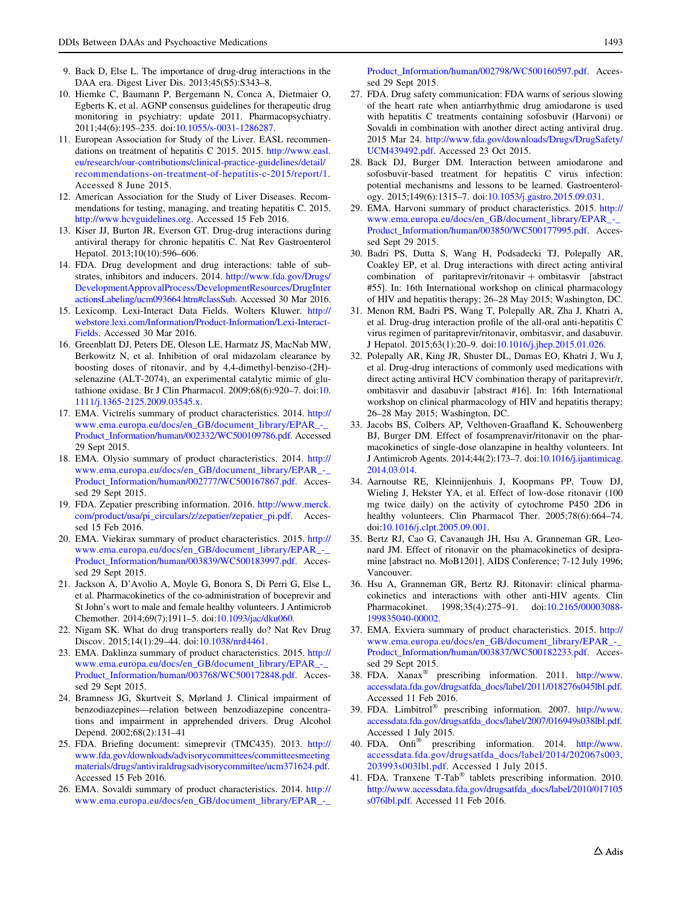- <span id="page-22-0"></span>9. Back D, Else L. The importance of drug-drug interactions in the DAA era. Digest Liver Dis. 2013;45(S5):S343–8.
- 10. Hiemke C, Baumann P, Bergemann N, Conca A, Dietmaier O, Egberts K, et al. AGNP consensus guidelines for therapeutic drug monitoring in psychiatry: update 2011. Pharmacopsychiatry. 2011;44(6):195–235. doi[:10.1055/s-0031-1286287.](http://dx.doi.org/10.1055/s-0031-1286287)
- 11. European Association for Study of the Liver. EASL recommendations on treatment of hepatitis C 2015. 2015. [http://www.easl.](http://www.easl.eu/research/our-contributions/clinical-practice-guidelines/detail/recommendations-on-treatment-of-hepatitis-c-2015/report/1) [eu/research/our-contributions/clinical-practice-guidelines/detail/](http://www.easl.eu/research/our-contributions/clinical-practice-guidelines/detail/recommendations-on-treatment-of-hepatitis-c-2015/report/1) [recommendations-on-treatment-of-hepatitis-c-2015/report/1](http://www.easl.eu/research/our-contributions/clinical-practice-guidelines/detail/recommendations-on-treatment-of-hepatitis-c-2015/report/1). Accessed 8 June 2015.
- 12. American Association for the Study of Liver Diseases. Recommendations for testing, managing, and treating hepatitis C. 2015. [http://www.hcvguidelines.org.](http://www.hcvguidelines.org) Accessed 15 Feb 2016.
- 13. Kiser JJ, Burton JR, Everson GT. Drug-drug interactions during antiviral therapy for chronic hepatitis C. Nat Rev Gastroenterol Hepatol. 2013;10(10):596–606.
- 14. FDA. Drug development and drug interactions: table of substrates, inhibitors and inducers. 2014. [http://www.fda.gov/Drugs/](http://www.fda.gov/Drugs/DevelopmentApprovalProcess/DevelopmentResources/DrugInteractionsLabeling/ucm093664.htm%23classSub) [DevelopmentApprovalProcess/DevelopmentResources/DrugInter](http://www.fda.gov/Drugs/DevelopmentApprovalProcess/DevelopmentResources/DrugInteractionsLabeling/ucm093664.htm%23classSub) [actionsLabeling/ucm093664.htm#classSub](http://www.fda.gov/Drugs/DevelopmentApprovalProcess/DevelopmentResources/DrugInteractionsLabeling/ucm093664.htm%23classSub). Accessed 30 Mar 2016.
- 15. Lexicomp. Lexi-Interact Data Fields. Wolters Kluwer. [http://](http://webstore.lexi.com/Information/Product-Information/Lexi-Interact-Fields) [webstore.lexi.com/Information/Product-Information/Lexi-Interact-](http://webstore.lexi.com/Information/Product-Information/Lexi-Interact-Fields)[Fields.](http://webstore.lexi.com/Information/Product-Information/Lexi-Interact-Fields) Accessed 30 Mar 2016.
- 16. Greenblatt DJ, Peters DE, Oleson LE, Harmatz JS, MacNab MW, Berkowitz N, et al. Inhibition of oral midazolam clearance by boosting doses of ritonavir, and by 4,4-dimethyl-benziso-(2H) selenazine (ALT-2074), an experimental catalytic mimic of glutathione oxidase. Br J Clin Pharmacol. 2009;68(6):920–7. doi:[10.](http://dx.doi.org/10.1111/j.1365-2125.2009.03545.x) [1111/j.1365-2125.2009.03545.x.](http://dx.doi.org/10.1111/j.1365-2125.2009.03545.x)
- 17. EMA. Victrelis summary of product characteristics. 2014. [http://](http://www.ema.europa.eu/docs/en_GB/document_library/EPAR_-_Product_Information/human/002332/WC500109786.pdf) [www.ema.europa.eu/docs/en\\_GB/document\\_library/EPAR\\_-\\_](http://www.ema.europa.eu/docs/en_GB/document_library/EPAR_-_Product_Information/human/002332/WC500109786.pdf) [Product\\_Information/human/002332/WC500109786.pdf.](http://www.ema.europa.eu/docs/en_GB/document_library/EPAR_-_Product_Information/human/002332/WC500109786.pdf) Accessed 29 Sept 2015.
- 18. EMA. Olysio summary of product characteristics. 2014. [http://](http://www.ema.europa.eu/docs/en_GB/document_library/EPAR_-_Product_Information/human/002777/WC500167867.pdf) [www.ema.europa.eu/docs/en\\_GB/document\\_library/EPAR\\_-\\_](http://www.ema.europa.eu/docs/en_GB/document_library/EPAR_-_Product_Information/human/002777/WC500167867.pdf) [Product\\_Information/human/002777/WC500167867.pdf.](http://www.ema.europa.eu/docs/en_GB/document_library/EPAR_-_Product_Information/human/002777/WC500167867.pdf) Accessed 29 Sept 2015.
- 19. FDA. Zepatier prescribing information. 2016. [http://www.merck.](http://www.merck.com/product/usa/pi_circulars/z/zepatier/zepatier_pi.pdf) [com/product/usa/pi\\_circulars/z/zepatier/zepatier\\_pi.pdf.](http://www.merck.com/product/usa/pi_circulars/z/zepatier/zepatier_pi.pdf) Accessed 15 Feb 2016.
- 20. EMA. Viekirax summary of product characteristics. 2015. [http://](http://www.ema.europa.eu/docs/en_GB/document_library/EPAR_-_Product_Information/human/003839/WC500183997.pdf) [www.ema.europa.eu/docs/en\\_GB/document\\_library/EPAR\\_-\\_](http://www.ema.europa.eu/docs/en_GB/document_library/EPAR_-_Product_Information/human/003839/WC500183997.pdf) [Product\\_Information/human/003839/WC500183997.pdf.](http://www.ema.europa.eu/docs/en_GB/document_library/EPAR_-_Product_Information/human/003839/WC500183997.pdf) Accessed 29 Sept 2015.
- 21. Jackson A, D'Avolio A, Moyle G, Bonora S, Di Perri G, Else L, et al. Pharmacokinetics of the co-administration of boceprevir and St John's wort to male and female healthy volunteers. J Antimicrob Chemother. 2014;69(7):1911–5. doi[:10.1093/jac/dku060](http://dx.doi.org/10.1093/jac/dku060).
- 22. Nigam SK. What do drug transporters really do? Nat Rev Drug Discov. 2015;14(1):29–44. doi:[10.1038/nrd4461](http://dx.doi.org/10.1038/nrd4461).
- 23. EMA. Daklinza summary of product characteristics. 2015. [http://](http://www.ema.europa.eu/docs/en_GB/document_library/EPAR_-_Product_Information/human/003768/WC500172848.pdf) [www.ema.europa.eu/docs/en\\_GB/document\\_library/EPAR\\_-\\_](http://www.ema.europa.eu/docs/en_GB/document_library/EPAR_-_Product_Information/human/003768/WC500172848.pdf) [Product\\_Information/human/003768/WC500172848.pdf.](http://www.ema.europa.eu/docs/en_GB/document_library/EPAR_-_Product_Information/human/003768/WC500172848.pdf) Accessed 29 Sept 2015.
- 24. Bramness JG, Skurtveit S, Mørland J. Clinical impairment of benzodiazepines—relation between benzodiazepine concentrations and impairment in apprehended drivers. Drug Alcohol Depend. 2002;68(2):131–41
- 25. FDA. Briefing document: simeprevir (TMC435). 2013. [http://](http://www.fda.gov/downloads/advisorycommittees/committeesmeetingmaterials/drugs/antiviraldrugsadvisorycommittee/ucm371624.pdf) [www.fda.gov/downloads/advisorycommittees/committeesmeeting](http://www.fda.gov/downloads/advisorycommittees/committeesmeetingmaterials/drugs/antiviraldrugsadvisorycommittee/ucm371624.pdf) [materials/drugs/antiviraldrugsadvisorycommittee/ucm371624.pdf](http://www.fda.gov/downloads/advisorycommittees/committeesmeetingmaterials/drugs/antiviraldrugsadvisorycommittee/ucm371624.pdf). Accessed 15 Feb 2016.
- 26. EMA. Sovaldi summary of product characteristics. 2014. [http://](http://www.ema.europa.eu/docs/en_GB/document_library/EPAR_-_Product_Information/human/002798/WC500160597.pdf) [www.ema.europa.eu/docs/en\\_GB/document\\_library/EPAR\\_-\\_](http://www.ema.europa.eu/docs/en_GB/document_library/EPAR_-_Product_Information/human/002798/WC500160597.pdf)

[Product\\_Information/human/002798/WC500160597.pdf.](http://www.ema.europa.eu/docs/en_GB/document_library/EPAR_-_Product_Information/human/002798/WC500160597.pdf) Accessed 29 Sept 2015.

- 27. FDA. Drug safety communication: FDA warns of serious slowing of the heart rate when antiarrhythmic drug amiodarone is used with hepatitis C treatments containing sofosbuvir (Harvoni) or Sovaldi in combination with another direct acting antiviral drug. 2015 Mar 24. [http://www.fda.gov/downloads/Drugs/DrugSafety/](http://www.fda.gov/downloads/Drugs/DrugSafety/UCM439492.pdf) [UCM439492.pdf.](http://www.fda.gov/downloads/Drugs/DrugSafety/UCM439492.pdf) Accessed 23 Oct 2015.
- 28. Back DJ, Burger DM. Interaction between amiodarone and sofosbuvir-based treatment for hepatitis C virus infection: potential mechanisms and lessons to be learned. Gastroenterology. 2015;149(6):1315–7. doi[:10.1053/j.gastro.2015.09.031.](http://dx.doi.org/10.1053/j.gastro.2015.09.031)
- 29. EMA. Harvoni summary of product characteristics. 2015. [http://](http://www.ema.europa.eu/docs/en_GB/document_library/EPAR_-_Product_Information/human/003850/WC500177995.pdf) [www.ema.europa.eu/docs/en\\_GB/document\\_library/EPAR\\_-\\_](http://www.ema.europa.eu/docs/en_GB/document_library/EPAR_-_Product_Information/human/003850/WC500177995.pdf) [Product\\_Information/human/003850/WC500177995.pdf.](http://www.ema.europa.eu/docs/en_GB/document_library/EPAR_-_Product_Information/human/003850/WC500177995.pdf) Accessed Sept 29 2015.
- 30. Badri PS, Dutta S, Wang H, Podsadecki TJ, Polepally AR, Coakley EP, et al. Drug interactions with direct acting antiviral combination of paritaprevir/ritonavir  $+$  ombitasvir [abstract #55]. In: 16th International workshop on clinical pharmacology of HIV and hepatitis therapy; 26–28 May 2015; Washington, DC.
- 31. Menon RM, Badri PS, Wang T, Polepally AR, Zha J, Khatri A, et al. Drug-drug interaction profile of the all-oral anti-hepatitis C virus regimen of paritaprevir/ritonavir, ombitasvir, and dasabuvir. J Hepatol. 2015;63(1):20–9. doi:[10.1016/j.jhep.2015.01.026](http://dx.doi.org/10.1016/j.jhep.2015.01.026).
- 32. Polepally AR, King JR, Shuster DL, Dumas EO, Khatri J, Wu J, et al. Drug-drug interactions of commonly used medications with direct acting antiviral HCV combination therapy of paritaprevir/r, ombitasvir and dasabuvir [abstract #16]. In: 16th International workshop on clinical pharmacology of HIV and hepatitis therapy; 26–28 May 2015; Washington, DC.
- 33. Jacobs BS, Colbers AP, Velthoven-Graafland K, Schouwenberg BJ, Burger DM. Effect of fosamprenavir/ritonavir on the pharmacokinetics of single-dose olanzapine in healthy volunteers. Int J Antimicrob Agents. 2014;44(2):173–7. doi[:10.1016/j.ijantimicag.](http://dx.doi.org/10.1016/j.ijantimicag.2014.03.014) [2014.03.014](http://dx.doi.org/10.1016/j.ijantimicag.2014.03.014).
- 34. Aarnoutse RE, Kleinnijenhuis J, Koopmans PP, Touw DJ, Wieling J, Hekster YA, et al. Effect of low-dose ritonavir (100 mg twice daily) on the activity of cytochrome P450 2D6 in healthy volunteers. Clin Pharmacol Ther. 2005;78(6):664-74. doi:[10.1016/j.clpt.2005.09.001.](http://dx.doi.org/10.1016/j.clpt.2005.09.001)
- 35. Bertz RJ, Cao G, Cavanaugh JH, Hsu A, Granneman GR, Leonard JM. Effect of ritonavir on the phamacokinetics of desipramine [abstract no. MoB1201]. AIDS Conference; 7-12 July 1996; Vancouver.
- 36. Hsu A, Granneman GR, Bertz RJ. Ritonavir: clinical pharmacokinetics and interactions with other anti-HIV agents. Clin Pharmacokinet. 1998;35(4):275–91. doi:[10.2165/00003088-](http://dx.doi.org/10.2165/00003088-199835040-00002) [199835040-00002.](http://dx.doi.org/10.2165/00003088-199835040-00002)
- 37. EMA. Exviera summary of product characteristics. 2015. [http://](http://www.ema.europa.eu/docs/en_GB/document_library/EPAR_-_Product_Information/human/003837/WC500182233.pdf) [www.ema.europa.eu/docs/en\\_GB/document\\_library/EPAR\\_-\\_](http://www.ema.europa.eu/docs/en_GB/document_library/EPAR_-_Product_Information/human/003837/WC500182233.pdf) [Product\\_Information/human/003837/WC500182233.pdf.](http://www.ema.europa.eu/docs/en_GB/document_library/EPAR_-_Product_Information/human/003837/WC500182233.pdf) Accessed 29 Sept 2015.
- 38. FDA. Xanax<sup>®</sup> prescribing information. 2011. [http://www.](http://www.accessdata.fda.gov/drugsatfda_docs/label/2011/018276s045lbl.pdf) [accessdata.fda.gov/drugsatfda\\_docs/label/2011/018276s045lbl.pdf.](http://www.accessdata.fda.gov/drugsatfda_docs/label/2011/018276s045lbl.pdf) Accessed 11 Feb 2016.
- 39. FDA. Limbitrol<sup>®</sup> prescribing information. 2007. [http://www.](http://www.accessdata.fda.gov/drugsatfda_docs/label/2007/016949s038lbl.pdf) [accessdata.fda.gov/drugsatfda\\_docs/label/2007/016949s038lbl.pdf.](http://www.accessdata.fda.gov/drugsatfda_docs/label/2007/016949s038lbl.pdf) Accessed 1 July 2015.
- 40. FDA. Onfi<sup>®</sup> prescribing information. 2014. [http://www.](http://www.accessdata.fda.gov/drugsatfda_docs/label/2014/202067s003%2c203993s003lbl.pdf) [accessdata.fda.gov/drugsatfda\\_docs/label/2014/202067s003,](http://www.accessdata.fda.gov/drugsatfda_docs/label/2014/202067s003%2c203993s003lbl.pdf) [203993s003lbl.pdf.](http://www.accessdata.fda.gov/drugsatfda_docs/label/2014/202067s003%2c203993s003lbl.pdf) Accessed 1 July 2015.
- 41. FDA. Tranxene T-Tab<sup>®</sup> tablets prescribing information. 2010. [http://www.accessdata.fda.gov/drugsatfda\\_docs/label/2010/017105](http://www.accessdata.fda.gov/drugsatfda_docs/label/2010/017105s076lbl.pdf) [s076lbl.pdf](http://www.accessdata.fda.gov/drugsatfda_docs/label/2010/017105s076lbl.pdf). Accessed 11 Feb 2016.